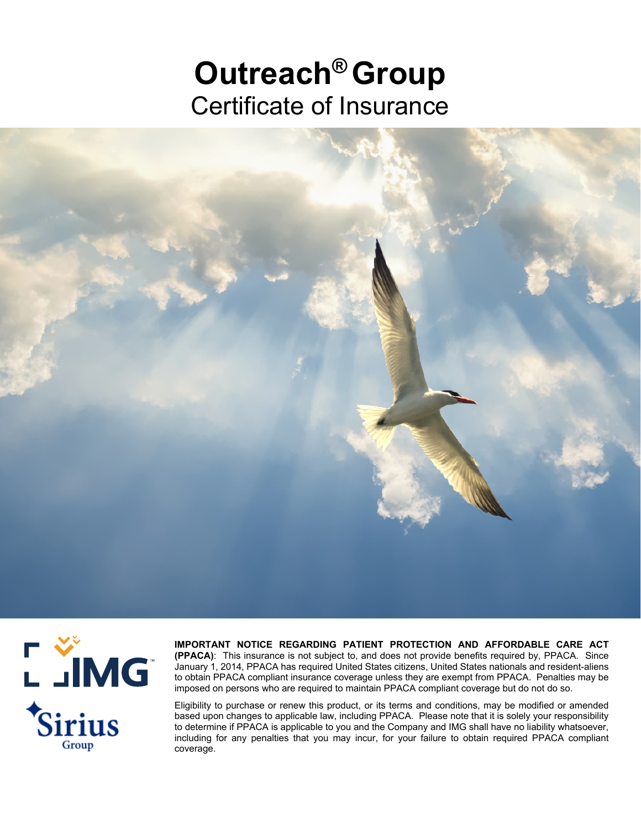## **Outreach®Group** Certificate of Insurance





**IMPORTANT NOTICE REGARDING PATIENT PROTECTION AND AFFORDABLE CARE ACT (PPACA)**: This insurance is not subject to, and does not provide benefits required by, PPACA. Since January 1, 2014, PPACA has required United States citizens, United States nationals and resident-aliens to obtain PPACA compliant insurance coverage unless they are exempt from PPACA. Penalties may be imposed on persons who are required to maintain PPACA compliant coverage but do not do so.

Eligibility to purchase or renew this product, or its terms and conditions, may be modified or amended based upon changes to applicable law, including PPACA. Please note that it is solely your responsibility to determine if PPACA is applicable to you and the Company and IMG shall have no liability whatsoever, including for any penalties that you may incur, for your failure to obtain required PPACA compliant coverage.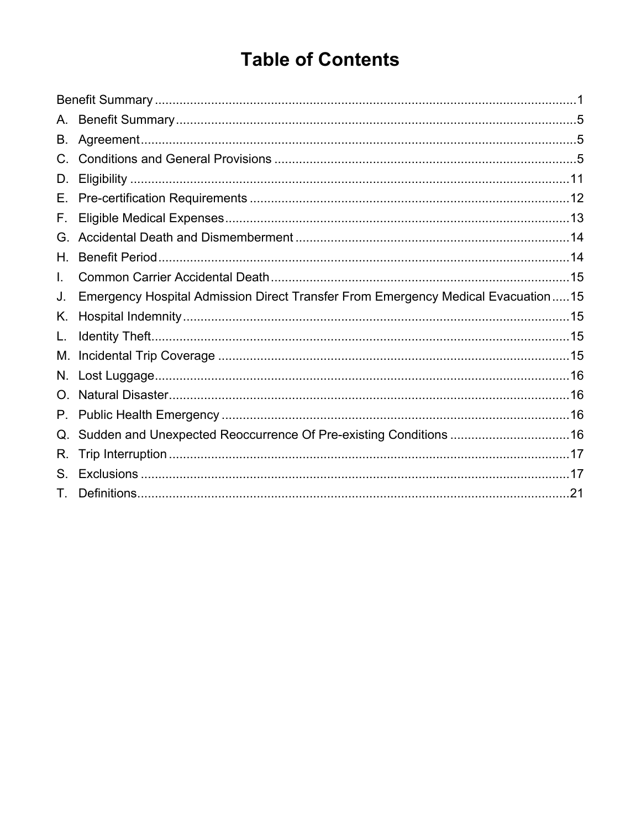### **Table of Contents**

| A.       |                                                                                  |  |
|----------|----------------------------------------------------------------------------------|--|
| В.       |                                                                                  |  |
|          |                                                                                  |  |
| D.       |                                                                                  |  |
| Е.       |                                                                                  |  |
| F.       |                                                                                  |  |
| G.       |                                                                                  |  |
| Н.       |                                                                                  |  |
| L.       |                                                                                  |  |
| J.       | Emergency Hospital Admission Direct Transfer From Emergency Medical Evacuation15 |  |
| Κ.       |                                                                                  |  |
| L.       |                                                                                  |  |
| М.       |                                                                                  |  |
| N.       |                                                                                  |  |
| $\Omega$ |                                                                                  |  |
| Р.       |                                                                                  |  |
|          | Sudden and Unexpected Reoccurrence Of Pre-existing Conditions 16                 |  |
| R.       |                                                                                  |  |
| S.       |                                                                                  |  |
|          |                                                                                  |  |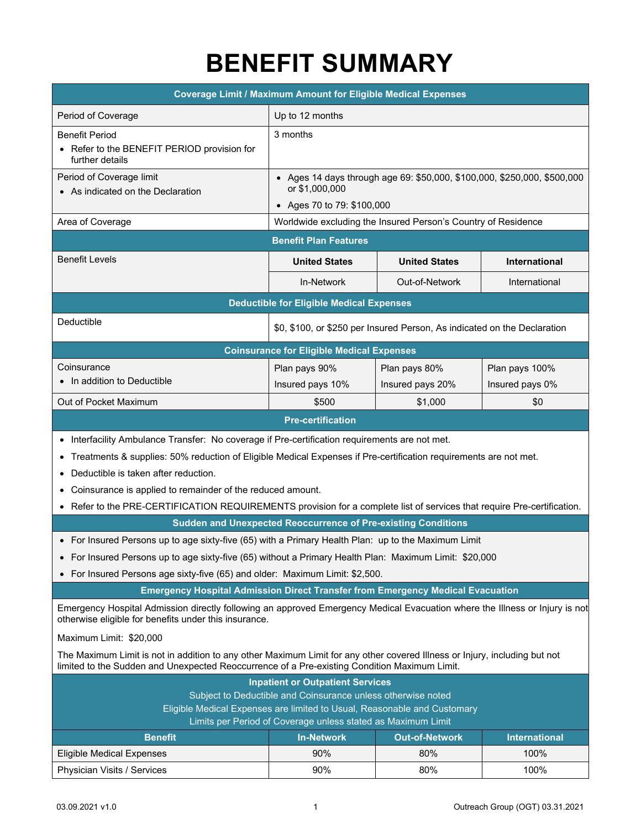### **BENEFIT SUMMARY**

<span id="page-2-0"></span>

| <b>Coverage Limit / Maximum Amount for Eligible Medical Expenses</b>                                                                                                                                                       |                                                                                            |                                                               |                      |
|----------------------------------------------------------------------------------------------------------------------------------------------------------------------------------------------------------------------------|--------------------------------------------------------------------------------------------|---------------------------------------------------------------|----------------------|
| Period of Coverage                                                                                                                                                                                                         | Up to 12 months                                                                            |                                                               |                      |
| <b>Benefit Period</b>                                                                                                                                                                                                      | 3 months                                                                                   |                                                               |                      |
| • Refer to the BENEFIT PERIOD provision for<br>further details                                                                                                                                                             |                                                                                            |                                                               |                      |
| Period of Coverage limit<br>• As indicated on the Declaration                                                                                                                                                              | • Ages 14 days through age 69: \$50,000, \$100,000, \$250,000, \$500,000<br>or \$1,000,000 |                                                               |                      |
|                                                                                                                                                                                                                            | • Ages 70 to 79: \$100,000                                                                 |                                                               |                      |
| Area of Coverage                                                                                                                                                                                                           |                                                                                            | Worldwide excluding the Insured Person's Country of Residence |                      |
|                                                                                                                                                                                                                            | <b>Benefit Plan Features</b>                                                               |                                                               |                      |
| <b>Benefit Levels</b>                                                                                                                                                                                                      | <b>United States</b>                                                                       | <b>United States</b>                                          | <b>International</b> |
|                                                                                                                                                                                                                            | In-Network                                                                                 | Out-of-Network                                                | International        |
|                                                                                                                                                                                                                            | <b>Deductible for Eligible Medical Expenses</b>                                            |                                                               |                      |
| Deductible                                                                                                                                                                                                                 | \$0, \$100, or \$250 per Insured Person, As indicated on the Declaration                   |                                                               |                      |
|                                                                                                                                                                                                                            | <b>Coinsurance for Eligible Medical Expenses</b>                                           |                                                               |                      |
| Coinsurance                                                                                                                                                                                                                | Plan pays 90%                                                                              | Plan pays 80%                                                 | Plan pays 100%       |
| In addition to Deductible                                                                                                                                                                                                  | Insured pays 10%                                                                           | Insured pays 20%                                              | Insured pays 0%      |
| Out of Pocket Maximum                                                                                                                                                                                                      | \$500                                                                                      | \$1,000                                                       | \$0                  |
|                                                                                                                                                                                                                            | <b>Pre-certification</b>                                                                   |                                                               |                      |
| Interfacility Ambulance Transfer: No coverage if Pre-certification requirements are not met.                                                                                                                               |                                                                                            |                                                               |                      |
| Treatments & supplies: 50% reduction of Eligible Medical Expenses if Pre-certification requirements are not met.<br>$\bullet$                                                                                              |                                                                                            |                                                               |                      |
| Deductible is taken after reduction.                                                                                                                                                                                       |                                                                                            |                                                               |                      |
| Coinsurance is applied to remainder of the reduced amount.                                                                                                                                                                 |                                                                                            |                                                               |                      |
| • Refer to the PRE-CERTIFICATION REQUIREMENTS provision for a complete list of services that require Pre-certification.                                                                                                    |                                                                                            |                                                               |                      |
|                                                                                                                                                                                                                            | Sudden and Unexpected Reoccurrence of Pre-existing Conditions                              |                                                               |                      |
| • For Insured Persons up to age sixty-five (65) with a Primary Health Plan: up to the Maximum Limit                                                                                                                        |                                                                                            |                                                               |                      |
| • For Insured Persons up to age sixty-five (65) without a Primary Health Plan: Maximum Limit: \$20,000                                                                                                                     |                                                                                            |                                                               |                      |
| • For Insured Persons age sixty-five (65) and older: Maximum Limit: \$2,500.                                                                                                                                               |                                                                                            |                                                               |                      |
| <b>Emergency Hospital Admission Direct Transfer from Emergency Medical Evacuation</b>                                                                                                                                      |                                                                                            |                                                               |                      |
| Emergency Hospital Admission directly following an approved Emergency Medical Evacuation where the Illness or Injury is not<br>otherwise eligible for benefits under this insurance.                                       |                                                                                            |                                                               |                      |
| Maximum Limit: \$20,000                                                                                                                                                                                                    |                                                                                            |                                                               |                      |
| The Maximum Limit is not in addition to any other Maximum Limit for any other covered Illness or Injury, including but not<br>limited to the Sudden and Unexpected Reoccurrence of a Pre-existing Condition Maximum Limit. |                                                                                            |                                                               |                      |
| <b>Inpatient or Outpatient Services</b>                                                                                                                                                                                    |                                                                                            |                                                               |                      |
| Subject to Deductible and Coinsurance unless otherwise noted<br>Eligible Medical Expenses are limited to Usual, Reasonable and Customary                                                                                   |                                                                                            |                                                               |                      |
| Limits per Period of Coverage unless stated as Maximum Limit                                                                                                                                                               |                                                                                            |                                                               |                      |
| <b>Benefit</b>                                                                                                                                                                                                             | <b>In-Network</b>                                                                          | <b>Out-of-Network</b>                                         | <b>International</b> |
| <b>Eligible Medical Expenses</b>                                                                                                                                                                                           | 90%                                                                                        | 80%                                                           | 100%                 |

Physician Visits / Services **100%** 100% 100% 100% 100% 100% 100%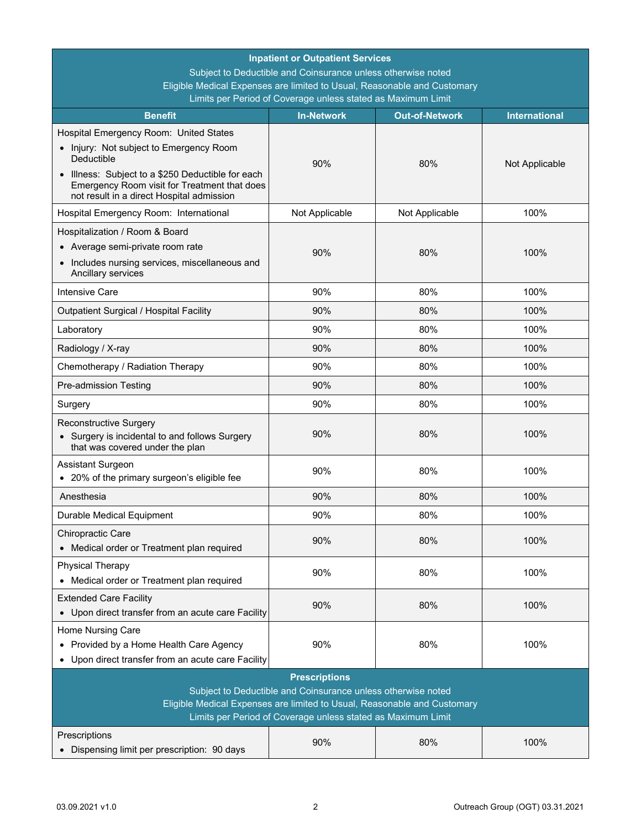| <b>Inpatient or Outpatient Services</b>                                                                                                                                                                                          |                                                              |                |                |  |
|----------------------------------------------------------------------------------------------------------------------------------------------------------------------------------------------------------------------------------|--------------------------------------------------------------|----------------|----------------|--|
|                                                                                                                                                                                                                                  | Subject to Deductible and Coinsurance unless otherwise noted |                |                |  |
| Eligible Medical Expenses are limited to Usual, Reasonable and Customary<br>Limits per Period of Coverage unless stated as Maximum Limit                                                                                         |                                                              |                |                |  |
| <b>International</b><br><b>Benefit</b><br><b>In-Network</b><br><b>Out-of-Network</b>                                                                                                                                             |                                                              |                |                |  |
| Hospital Emergency Room: United States                                                                                                                                                                                           |                                                              |                |                |  |
| • Injury: Not subject to Emergency Room<br>Deductible                                                                                                                                                                            | 90%                                                          | 80%            | Not Applicable |  |
| • Illness: Subject to a \$250 Deductible for each<br>Emergency Room visit for Treatment that does<br>not result in a direct Hospital admission                                                                                   |                                                              |                |                |  |
| Hospital Emergency Room: International                                                                                                                                                                                           | Not Applicable                                               | Not Applicable | 100%           |  |
| Hospitalization / Room & Board                                                                                                                                                                                                   |                                                              |                |                |  |
| • Average semi-private room rate                                                                                                                                                                                                 | 90%                                                          | 80%            | 100%           |  |
| • Includes nursing services, miscellaneous and<br>Ancillary services                                                                                                                                                             |                                                              |                |                |  |
| <b>Intensive Care</b>                                                                                                                                                                                                            | 90%                                                          | 80%            | 100%           |  |
| Outpatient Surgical / Hospital Facility                                                                                                                                                                                          | 90%                                                          | 80%            | 100%           |  |
| Laboratory                                                                                                                                                                                                                       | 90%                                                          | 80%            | 100%           |  |
| Radiology / X-ray                                                                                                                                                                                                                | 90%                                                          | 80%            | 100%           |  |
| Chemotherapy / Radiation Therapy                                                                                                                                                                                                 | 90%                                                          | 80%            | 100%           |  |
| Pre-admission Testing                                                                                                                                                                                                            | 90%                                                          | 80%            | 100%           |  |
| Surgery                                                                                                                                                                                                                          | 90%                                                          | 80%            | 100%           |  |
| Reconstructive Surgery<br>• Surgery is incidental to and follows Surgery<br>that was covered under the plan                                                                                                                      | 90%                                                          | 80%            | 100%           |  |
| Assistant Surgeon<br>• 20% of the primary surgeon's eligible fee                                                                                                                                                                 | 90%                                                          | 80%            | 100%           |  |
| Anesthesia                                                                                                                                                                                                                       | 90%                                                          | 80%            | 100%           |  |
| Durable Medical Equipment                                                                                                                                                                                                        | 90%                                                          | 80%            | 100%           |  |
| Chiropractic Care<br>• Medical order or Treatment plan required                                                                                                                                                                  | 90%                                                          | 80%            | 100%           |  |
| <b>Physical Therapy</b><br>• Medical order or Treatment plan required                                                                                                                                                            | 90%                                                          | 80%            | 100%           |  |
| <b>Extended Care Facility</b><br>• Upon direct transfer from an acute care Facility                                                                                                                                              | 90%                                                          | 80%            | 100%           |  |
| Home Nursing Care<br>• Provided by a Home Health Care Agency<br>Upon direct transfer from an acute care Facility<br>$\bullet$                                                                                                    | 90%                                                          | 80%            | 100%           |  |
| <b>Prescriptions</b><br>Subject to Deductible and Coinsurance unless otherwise noted<br>Eligible Medical Expenses are limited to Usual, Reasonable and Customary<br>Limits per Period of Coverage unless stated as Maximum Limit |                                                              |                |                |  |
| Prescriptions<br>• Dispensing limit per prescription: 90 days                                                                                                                                                                    | 90%                                                          | 80%            | 100%           |  |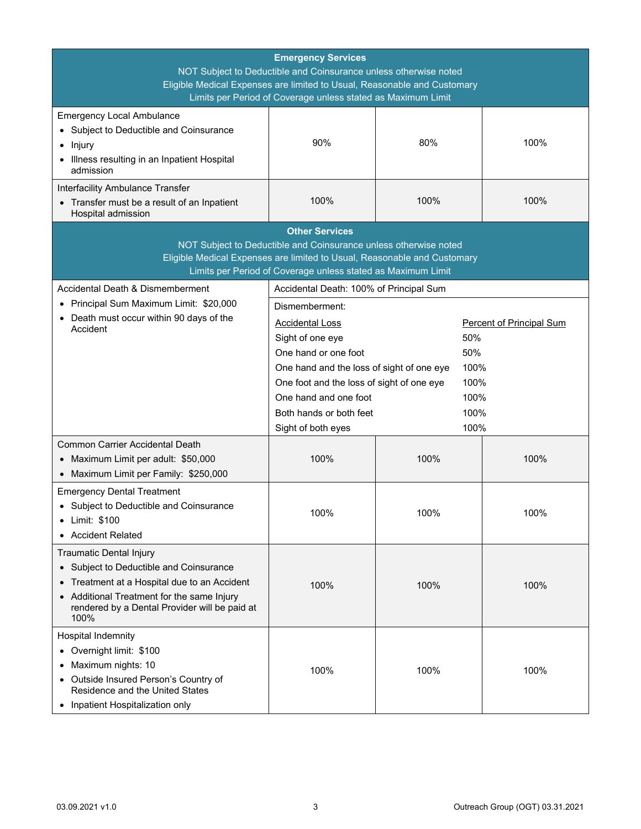| <b>Emergency Services</b><br>NOT Subject to Deductible and Coinsurance unless otherwise noted<br>Eligible Medical Expenses are limited to Usual, Reasonable and Customary<br>Limits per Period of Coverage unless stated as Maximum Limit |                                                                                                                                                                                                              |              |                                 |  |
|-------------------------------------------------------------------------------------------------------------------------------------------------------------------------------------------------------------------------------------------|--------------------------------------------------------------------------------------------------------------------------------------------------------------------------------------------------------------|--------------|---------------------------------|--|
| <b>Emergency Local Ambulance</b><br>• Subject to Deductible and Coinsurance<br>Injury<br>Illness resulting in an Inpatient Hospital<br>admission                                                                                          | 90%                                                                                                                                                                                                          | 80%          | 100%                            |  |
| Interfacility Ambulance Transfer<br>• Transfer must be a result of an Inpatient<br>Hospital admission                                                                                                                                     | 100%                                                                                                                                                                                                         | 100%         | 100%                            |  |
|                                                                                                                                                                                                                                           | <b>Other Services</b>                                                                                                                                                                                        |              |                                 |  |
|                                                                                                                                                                                                                                           | NOT Subject to Deductible and Coinsurance unless otherwise noted<br>Eligible Medical Expenses are limited to Usual, Reasonable and Customary<br>Limits per Period of Coverage unless stated as Maximum Limit |              |                                 |  |
| Accidental Death & Dismemberment                                                                                                                                                                                                          | Accidental Death: 100% of Principal Sum                                                                                                                                                                      |              |                                 |  |
| Principal Sum Maximum Limit: \$20,000<br>• Death must occur within 90 days of the                                                                                                                                                         | Dismemberment:<br><b>Accidental Loss</b>                                                                                                                                                                     |              | <b>Percent of Principal Sum</b> |  |
| Accident                                                                                                                                                                                                                                  | Sight of one eye                                                                                                                                                                                             | 50%          |                                 |  |
|                                                                                                                                                                                                                                           | One hand or one foot                                                                                                                                                                                         | 50%          |                                 |  |
|                                                                                                                                                                                                                                           | One hand and the loss of sight of one eye                                                                                                                                                                    | 100%         |                                 |  |
|                                                                                                                                                                                                                                           | One foot and the loss of sight of one eye<br>100%                                                                                                                                                            |              |                                 |  |
|                                                                                                                                                                                                                                           | One hand and one foot<br>Both hands or both feet                                                                                                                                                             | 100%<br>100% |                                 |  |
|                                                                                                                                                                                                                                           | Sight of both eyes                                                                                                                                                                                           | 100%         |                                 |  |
| <b>Common Carrier Accidental Death</b><br>Maximum Limit per adult: \$50,000<br>Maximum Limit per Family: \$250,000                                                                                                                        | 100%                                                                                                                                                                                                         | 100%         | 100%                            |  |
| <b>Emergency Dental Treatment</b><br>• Subject to Deductible and Coinsurance<br>Limit: \$100<br>٠<br><b>Accident Related</b>                                                                                                              | 100%                                                                                                                                                                                                         | 100%         | 100%                            |  |
| Traumatic Dental Injury<br>• Subject to Deductible and Coinsurance<br>• Treatment at a Hospital due to an Accident<br>• Additional Treatment for the same Injury<br>rendered by a Dental Provider will be paid at<br>100%                 | 100%                                                                                                                                                                                                         | 100%         | 100%                            |  |
| Hospital Indemnity<br>• Overnight limit: \$100<br>Maximum nights: 10<br>Outside Insured Person's Country of<br>$\bullet$<br>Residence and the United States<br>• Inpatient Hospitalization only                                           | 100%                                                                                                                                                                                                         | 100%         | 100%                            |  |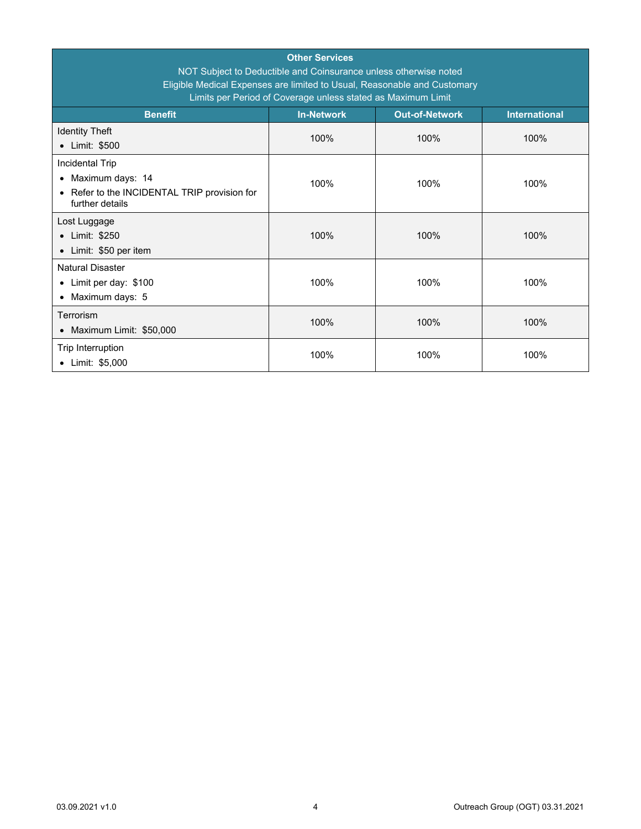| <b>Other Services</b><br>NOT Subject to Deductible and Coinsurance unless otherwise noted<br>Eligible Medical Expenses are limited to Usual, Reasonable and Customary<br>Limits per Period of Coverage unless stated as Maximum Limit |                   |                       |                      |  |  |
|---------------------------------------------------------------------------------------------------------------------------------------------------------------------------------------------------------------------------------------|-------------------|-----------------------|----------------------|--|--|
| <b>Benefit</b>                                                                                                                                                                                                                        | <b>In-Network</b> | <b>Out-of-Network</b> | <b>International</b> |  |  |
| <b>Identity Theft</b><br>• Limit: \$500                                                                                                                                                                                               | 100%              | 100%                  | 100%                 |  |  |
| Incidental Trip<br>Maximum days: 14<br>$\bullet$<br>• Refer to the INCIDENTAL TRIP provision for<br>further details                                                                                                                   | 100%              | 100%                  | 100%                 |  |  |
| Lost Luggage<br>• Limit: \$250<br>• Limit: \$50 per item                                                                                                                                                                              | 100%              | 100%                  | 100%                 |  |  |
| <b>Natural Disaster</b><br>• Limit per day: \$100<br>• Maximum days: 5                                                                                                                                                                | 100%              | 100%                  | 100%                 |  |  |
| Terrorism<br>• Maximum Limit: \$50,000                                                                                                                                                                                                | 100%              | 100%                  | 100%                 |  |  |
| Trip Interruption<br>• Limit: \$5,000                                                                                                                                                                                                 | 100%              | 100%                  | 100%                 |  |  |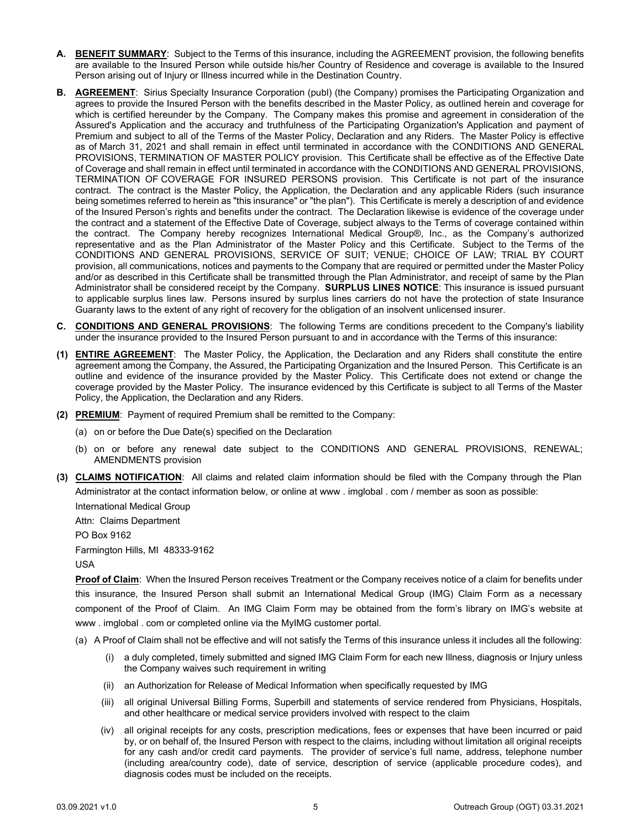- <span id="page-6-0"></span>**A. BENEFIT SUMMARY**: Subject to the Terms of this insurance, including the AGREEMENT provision, the following benefits are available to the Insured Person while outside his/her Country of Residence and coverage is available to the Insured Person arising out of Injury or Illness incurred while in the Destination Country.
- <span id="page-6-1"></span>**B. AGREEMENT**: Sirius Specialty Insurance Corporation (publ) (the Company) promises the Participating Organization and agrees to provide the Insured Person with the benefits described in the Master Policy, as outlined herein and coverage for which is certified hereunder by the Company. The Company makes this promise and agreement in consideration of the Assured's Application and the accuracy and truthfulness of the Participating Organization's Application and payment of Premium and subject to all of the Terms of the Master Policy, Declaration and any Riders. The Master Policy is effective as of March 31, 2021 and shall remain in effect until terminated in accordance with the CONDITIONS AND GENERAL PROVISIONS, TERMINATION OF MASTER POLICY provision. This Certificate shall be effective as of the Effective Date of Coverage and shall remain in effect until terminated in accordance with the CONDITIONS AND GENERAL PROVISIONS, TERMINATION OF COVERAGE FOR INSURED PERSONS provision. This Certificate is not part of the insurance contract. The contract is the Master Policy, the Application, the Declaration and any applicable Riders (such insurance being sometimes referred to herein as "this insurance" or "the plan"). This Certificate is merely a description of and evidence of the Insured Person's rights and benefits under the contract. The Declaration likewise is evidence of the coverage under the contract and a statement of the Effective Date of Coverage, subject always to the Terms of coverage contained within the contract. The Company hereby recognizes International Medical Group®, Inc., as the Company's authorized representative and as the Plan Administrator of the Master Policy and this Certificate. Subject to the Terms of the CONDITIONS AND GENERAL PROVISIONS, SERVICE OF SUIT; VENUE; CHOICE OF LAW; TRIAL BY COURT provision, all communications, notices and payments to the Company that are required or permitted under the Master Policy and/or as described in this Certificate shall be transmitted through the Plan Administrator, and receipt of same by the Plan Administrator shall be considered receipt by the Company. **SURPLUS LINES NOTICE**: This insurance is issued pursuant to applicable surplus lines law. Persons insured by surplus lines carriers do not have the protection of state Insurance Guaranty laws to the extent of any right of recovery for the obligation of an insolvent unlicensed insurer.
- <span id="page-6-2"></span>**C. CONDITIONS AND GENERAL PROVISIONS**: The following Terms are conditions precedent to the Company's liability under the insurance provided to the Insured Person pursuant to and in accordance with the Terms of this insurance:
- **(1) ENTIRE AGREEMENT**: The Master Policy, the Application, the Declaration and any Riders shall constitute the entire agreement among the Company, the Assured, the Participating Organization and the Insured Person. This Certificate is an outline and evidence of the insurance provided by the Master Policy. This Certificate does not extend or change the coverage provided by the Master Policy. The insurance evidenced by this Certificate is subject to all Terms of the Master Policy, the Application, the Declaration and any Riders.
- **(2) PREMIUM**: Payment of required Premium shall be remitted to the Company:
	- (a) on or before the Due Date(s) specified on the Declaration
	- (b) on or before any renewal date subject to the CONDITIONS AND GENERAL PROVISIONS, RENEWAL; AMENDMENTS provision
- **(3) CLAIMS NOTIFICATION**: All claims and related claim information should be filed with the Company through the Plan Administrator at the contact information below, or online at www . imglobal . com / member as soon as possible: International Medical Group

Attn: Claims Department

PO Box 9162

Farmington Hills, MI 48333-9162

USA

**Proof of Claim**: When the Insured Person receives Treatment or the Company receives notice of a claim for benefits under this insurance, the Insured Person shall submit an International Medical Group (IMG) Claim Form as a necessary component of the Proof of Claim. An IMG Claim Form may be obtained from the form's library on IMG's website at www . imglobal . com or completed online via the MyIMG customer portal.

- (a) A Proof of Claim shall not be effective and will not satisfy the Terms of this insurance unless it includes all the following:
	- (i) a duly completed, timely submitted and signed IMG Claim Form for each new Illness, diagnosis or Injury unless the Company waives such requirement in writing
	- (ii) an Authorization for Release of Medical Information when specifically requested by IMG
	- (iii) all original Universal Billing Forms, Superbill and statements of service rendered from Physicians, Hospitals, and other healthcare or medical service providers involved with respect to the claim
	- (iv) all original receipts for any costs, prescription medications, fees or expenses that have been incurred or paid by, or on behalf of, the Insured Person with respect to the claims, including without limitation all original receipts for any cash and/or credit card payments. The provider of service's full name, address, telephone number (including area/country code), date of service, description of service (applicable procedure codes), and diagnosis codes must be included on the receipts.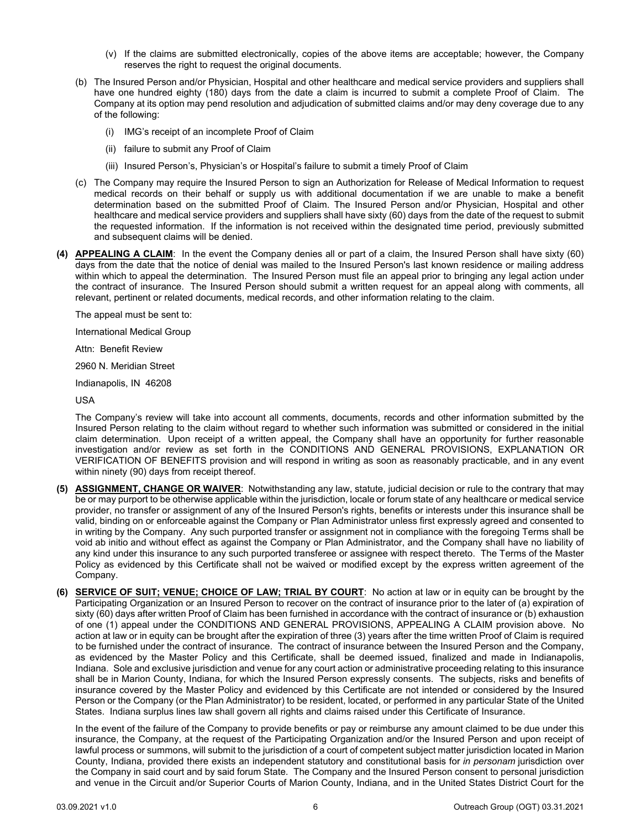- (v) If the claims are submitted electronically, copies of the above items are acceptable; however, the Company reserves the right to request the original documents.
- (b) The Insured Person and/or Physician, Hospital and other healthcare and medical service providers and suppliers shall have one hundred eighty (180) days from the date a claim is incurred to submit a complete Proof of Claim. The Company at its option may pend resolution and adjudication of submitted claims and/or may deny coverage due to any of the following:
	- (i) IMG's receipt of an incomplete Proof of Claim
	- (ii) failure to submit any Proof of Claim
	- (iii) Insured Person's, Physician's or Hospital's failure to submit a timely Proof of Claim
- (c) The Company may require the Insured Person to sign an Authorization for Release of Medical Information to request medical records on their behalf or supply us with additional documentation if we are unable to make a benefit determination based on the submitted Proof of Claim. The Insured Person and/or Physician, Hospital and other healthcare and medical service providers and suppliers shall have sixty (60) days from the date of the request to submit the requested information. If the information is not received within the designated time period, previously submitted and subsequent claims will be denied.
- **(4) APPEALING A CLAIM**: In the event the Company denies all or part of a claim, the Insured Person shall have sixty (60) days from the date that the notice of denial was mailed to the Insured Person's last known residence or mailing address within which to appeal the determination. The Insured Person must file an appeal prior to bringing any legal action under the contract of insurance. The Insured Person should submit a written request for an appeal along with comments, all relevant, pertinent or related documents, medical records, and other information relating to the claim.

The appeal must be sent to:

International Medical Group

Attn: Benefit Review

2960 N. Meridian Street

Indianapolis, IN 46208

USA

The Company's review will take into account all comments, documents, records and other information submitted by the Insured Person relating to the claim without regard to whether such information was submitted or considered in the initial claim determination. Upon receipt of a written appeal, the Company shall have an opportunity for further reasonable investigation and/or review as set forth in the CONDITIONS AND GENERAL PROVISIONS, EXPLANATION OR VERIFICATION OF BENEFITS provision and will respond in writing as soon as reasonably practicable, and in any event within ninety (90) days from receipt thereof.

- **(5) ASSIGNMENT, CHANGE OR WAIVER**: Notwithstanding any law, statute, judicial decision or rule to the contrary that may be or may purport to be otherwise applicable within the jurisdiction, locale or forum state of any healthcare or medical service provider, no transfer or assignment of any of the Insured Person's rights, benefits or interests under this insurance shall be valid, binding on or enforceable against the Company or Plan Administrator unless first expressly agreed and consented to in writing by the Company. Any such purported transfer or assignment not in compliance with the foregoing Terms shall be void ab initio and without effect as against the Company or Plan Administrator, and the Company shall have no liability of any kind under this insurance to any such purported transferee or assignee with respect thereto. The Terms of the Master Policy as evidenced by this Certificate shall not be waived or modified except by the express written agreement of the Company.
- **(6) SERVICE OF SUIT; VENUE; CHOICE OF LAW; TRIAL BY COURT**: No action at law or in equity can be brought by the Participating Organization or an Insured Person to recover on the contract of insurance prior to the later of (a) expiration of sixty (60) days after written Proof of Claim has been furnished in accordance with the contract of insurance or (b) exhaustion of one (1) appeal under the CONDITIONS AND GENERAL PROVISIONS, APPEALING A CLAIM provision above. No action at law or in equity can be brought after the expiration of three (3) years after the time written Proof of Claim is required to be furnished under the contract of insurance. The contract of insurance between the Insured Person and the Company, as evidenced by the Master Policy and this Certificate, shall be deemed issued, finalized and made in Indianapolis, Indiana. Sole and exclusive jurisdiction and venue for any court action or administrative proceeding relating to this insurance shall be in Marion County, Indiana, for which the Insured Person expressly consents. The subjects, risks and benefits of insurance covered by the Master Policy and evidenced by this Certificate are not intended or considered by the Insured Person or the Company (or the Plan Administrator) to be resident, located, or performed in any particular State of the United States. Indiana surplus lines law shall govern all rights and claims raised under this Certificate of Insurance.

In the event of the failure of the Company to provide benefits or pay or reimburse any amount claimed to be due under this insurance, the Company, at the request of the Participating Organization and/or the Insured Person and upon receipt of lawful process or summons, will submit to the jurisdiction of a court of competent subject matter jurisdiction located in Marion County, Indiana, provided there exists an independent statutory and constitutional basis for *in personam* jurisdiction over the Company in said court and by said forum State. The Company and the Insured Person consent to personal jurisdiction and venue in the Circuit and/or Superior Courts of Marion County, Indiana, and in the United States District Court for the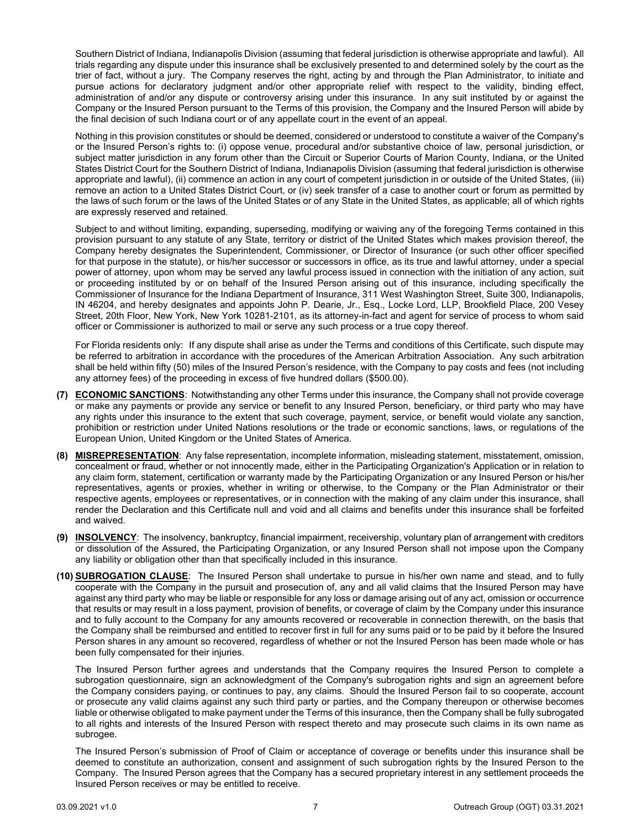Southern District of Indiana, Indianapolis Division (assuming that federal jurisdiction is otherwise appropriate and lawful). All trials regarding any dispute under this insurance shall be exclusively presented to and determined solely by the court as the trier of fact, without a jury. The Company reserves the right, acting by and through the Plan Administrator, to initiate and pursue actions for declaratory judgment and/or other appropriate relief with respect to the validity, binding effect, administration of and/or any dispute or controversy arising under this insurance. In any suit instituted by or against the Company or the Insured Person pursuant to the Terms of this provision, the Company and the Insured Person will abide by the final decision of such Indiana court or of any appellate court in the event of an appeal.

Nothing in this provision constitutes or should be deemed, considered or understood to constitute a waiver of the Company's or the Insured Person's rights to: (i) oppose venue, procedural and/or substantive choice of law, personal jurisdiction, or subject matter jurisdiction in any forum other than the Circuit or Superior Courts of Marion County, Indiana, or the United States District Court for the Southern District of Indiana, Indianapolis Division (assuming that federal jurisdiction is otherwise appropriate and lawful), (ii) commence an action in any court of competent jurisdiction in or outside of the United States, (iii) remove an action to a United States District Court, or (iv) seek transfer of a case to another court or forum as permitted by the laws of such forum or the laws of the United States or of any State in the United States, as applicable; all of which rights are expressly reserved and retained.

Subject to and without limiting, expanding, superseding, modifying or waiving any of the foregoing Terms contained in this provision pursuant to any statute of any State, territory or district of the United States which makes provision thereof, the Company hereby designates the Superintendent, Commissioner, or Director of Insurance (or such other officer specified for that purpose in the statute), or his/her successor or successors in office, as its true and lawful attorney, under a special power of attorney, upon whom may be served any lawful process issued in connection with the initiation of any action, suit or proceeding instituted by or on behalf of the Insured Person arising out of this insurance, including specifically the Commissioner of Insurance for the Indiana Department of Insurance, 311 West Washington Street, Suite 300, Indianapolis, IN 46204, and hereby designates and appoints John P. Dearie, Jr., Esq., Locke Lord, LLP, Brookfield Place, 200 Vesey Street, 20th Floor, New York, New York 10281-2101, as its attorney-in-fact and agent for service of process to whom said officer or Commissioner is authorized to mail or serve any such process or a true copy thereof.

For Florida residents only: If any dispute shall arise as under the Terms and conditions of this Certificate, such dispute may be referred to arbitration in accordance with the procedures of the American Arbitration Association. Any such arbitration shall be held within fifty (50) miles of the Insured Person's residence, with the Company to pay costs and fees (not including any attorney fees) of the proceeding in excess of five hundred dollars (\$500.00).

- **(7) ECONOMIC SANCTIONS**: Notwithstanding any other Terms under this insurance, the Company shall not provide coverage or make any payments or provide any service or benefit to any Insured Person, beneficiary, or third party who may have any rights under this insurance to the extent that such coverage, payment, service, or benefit would violate any sanction, prohibition or restriction under United Nations resolutions or the trade or economic sanctions, laws, or regulations of the European Union, United Kingdom or the United States of America.
- **(8) MISREPRESENTATION**: Any false representation, incomplete information, misleading statement, misstatement, omission, concealment or fraud, whether or not innocently made, either in the Participating Organization's Application or in relation to any claim form, statement, certification or warranty made by the Participating Organization or any Insured Person or his/her representatives, agents or proxies, whether in writing or otherwise, to the Company or the Plan Administrator or their respective agents, employees or representatives, or in connection with the making of any claim under this insurance, shall render the Declaration and this Certificate null and void and all claims and benefits under this insurance shall be forfeited and waived.
- **(9) INSOLVENCY**: The insolvency, bankruptcy, financial impairment, receivership, voluntary plan of arrangement with creditors or dissolution of the Assured, the Participating Organization, or any Insured Person shall not impose upon the Company any liability or obligation other than that specifically included in this insurance.
- **(10) SUBROGATION CLAUSE**: The Insured Person shall undertake to pursue in his/her own name and stead, and to fully cooperate with the Company in the pursuit and prosecution of, any and all valid claims that the Insured Person may have against any third party who may be liable or responsible for any loss or damage arising out of any act, omission or occurrence that results or may result in a loss payment, provision of benefits, or coverage of claim by the Company under this insurance and to fully account to the Company for any amounts recovered or recoverable in connection therewith, on the basis that the Company shall be reimbursed and entitled to recover first in full for any sums paid or to be paid by it before the Insured Person shares in any amount so recovered, regardless of whether or not the Insured Person has been made whole or has been fully compensated for their injuries.

The Insured Person further agrees and understands that the Company requires the Insured Person to complete a subrogation questionnaire, sign an acknowledgment of the Company's subrogation rights and sign an agreement before the Company considers paying, or continues to pay, any claims. Should the Insured Person fail to so cooperate, account or prosecute any valid claims against any such third party or parties, and the Company thereupon or otherwise becomes liable or otherwise obligated to make payment under the Terms of this insurance, then the Company shall be fully subrogated to all rights and interests of the Insured Person with respect thereto and may prosecute such claims in its own name as subrogee.

The Insured Person's submission of Proof of Claim or acceptance of coverage or benefits under this insurance shall be deemed to constitute an authorization, consent and assignment of such subrogation rights by the Insured Person to the Company. The Insured Person agrees that the Company has a secured proprietary interest in any settlement proceeds the Insured Person receives or may be entitled to receive.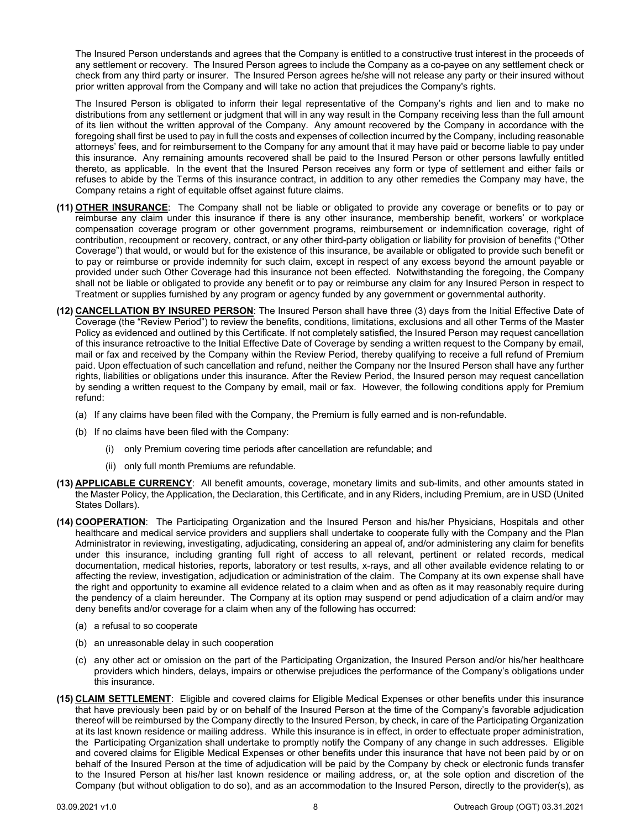The Insured Person understands and agrees that the Company is entitled to a constructive trust interest in the proceeds of any settlement or recovery. The Insured Person agrees to include the Company as a co-payee on any settlement check or check from any third party or insurer. The Insured Person agrees he/she will not release any party or their insured without prior written approval from the Company and will take no action that prejudices the Company's rights.

The Insured Person is obligated to inform their legal representative of the Company's rights and lien and to make no distributions from any settlement or judgment that will in any way result in the Company receiving less than the full amount of its lien without the written approval of the Company. Any amount recovered by the Company in accordance with the foregoing shall first be used to pay in full the costs and expenses of collection incurred by the Company, including reasonable attorneys' fees, and for reimbursement to the Company for any amount that it may have paid or become liable to pay under this insurance. Any remaining amounts recovered shall be paid to the Insured Person or other persons lawfully entitled thereto, as applicable. In the event that the Insured Person receives any form or type of settlement and either fails or refuses to abide by the Terms of this insurance contract, in addition to any other remedies the Company may have, the Company retains a right of equitable offset against future claims.

- **(11) OTHER INSURANCE**: The Company shall not be liable or obligated to provide any coverage or benefits or to pay or reimburse any claim under this insurance if there is any other insurance, membership benefit, workers' or workplace compensation coverage program or other government programs, reimbursement or indemnification coverage, right of contribution, recoupment or recovery, contract, or any other third-party obligation or liability for provision of benefits ("Other Coverage") that would, or would but for the existence of this insurance, be available or obligated to provide such benefit or to pay or reimburse or provide indemnity for such claim, except in respect of any excess beyond the amount payable or provided under such Other Coverage had this insurance not been effected. Notwithstanding the foregoing, the Company shall not be liable or obligated to provide any benefit or to pay or reimburse any claim for any Insured Person in respect to Treatment or supplies furnished by any program or agency funded by any government or governmental authority.
- **(12) CANCELLATION BY INSURED PERSON**: The Insured Person shall have three (3) days from the Initial Effective Date of Coverage (the "Review Period") to review the benefits, conditions, limitations, exclusions and all other Terms of the Master Policy as evidenced and outlined by this Certificate. If not completely satisfied, the Insured Person may request cancellation of this insurance retroactive to the Initial Effective Date of Coverage by sending a written request to the Company by email, mail or fax and received by the Company within the Review Period, thereby qualifying to receive a full refund of Premium paid. Upon effectuation of such cancellation and refund, neither the Company nor the Insured Person shall have any further rights, liabilities or obligations under this insurance. After the Review Period, the Insured person may request cancellation by sending a written request to the Company by email, mail or fax. However, the following conditions apply for Premium refund:
	- (a) If any claims have been filed with the Company, the Premium is fully earned and is non-refundable.
	- (b) If no claims have been filed with the Company:
		- (i) only Premium covering time periods after cancellation are refundable; and
		- (ii) only full month Premiums are refundable.
- **(13) APPLICABLE CURRENCY**: All benefit amounts, coverage, monetary limits and sub-limits, and other amounts stated in the Master Policy, the Application, the Declaration, this Certificate, and in any Riders, including Premium, are in USD (United States Dollars).
- **(14) COOPERATION**: The Participating Organization and the Insured Person and his/her Physicians, Hospitals and other healthcare and medical service providers and suppliers shall undertake to cooperate fully with the Company and the Plan Administrator in reviewing, investigating, adjudicating, considering an appeal of, and/or administering any claim for benefits under this insurance, including granting full right of access to all relevant, pertinent or related records, medical documentation, medical histories, reports, laboratory or test results, x-rays, and all other available evidence relating to or affecting the review, investigation, adjudication or administration of the claim. The Company at its own expense shall have the right and opportunity to examine all evidence related to a claim when and as often as it may reasonably require during the pendency of a claim hereunder. The Company at its option may suspend or pend adjudication of a claim and/or may deny benefits and/or coverage for a claim when any of the following has occurred:
	- (a) a refusal to so cooperate
	- (b) an unreasonable delay in such cooperation
	- (c) any other act or omission on the part of the Participating Organization, the Insured Person and/or his/her healthcare providers which hinders, delays, impairs or otherwise prejudices the performance of the Company's obligations under this insurance.
- **(15) CLAIM SETTLEMENT**: Eligible and covered claims for Eligible Medical Expenses or other benefits under this insurance that have previously been paid by or on behalf of the Insured Person at the time of the Company's favorable adjudication thereof will be reimbursed by the Company directly to the Insured Person, by check, in care of the Participating Organization at its last known residence or mailing address. While this insurance is in effect, in order to effectuate proper administration, the Participating Organization shall undertake to promptly notify the Company of any change in such addresses. Eligible and covered claims for Eligible Medical Expenses or other benefits under this insurance that have not been paid by or on behalf of the Insured Person at the time of adjudication will be paid by the Company by check or electronic funds transfer to the Insured Person at his/her last known residence or mailing address, or, at the sole option and discretion of the Company (but without obligation to do so), and as an accommodation to the Insured Person, directly to the provider(s), as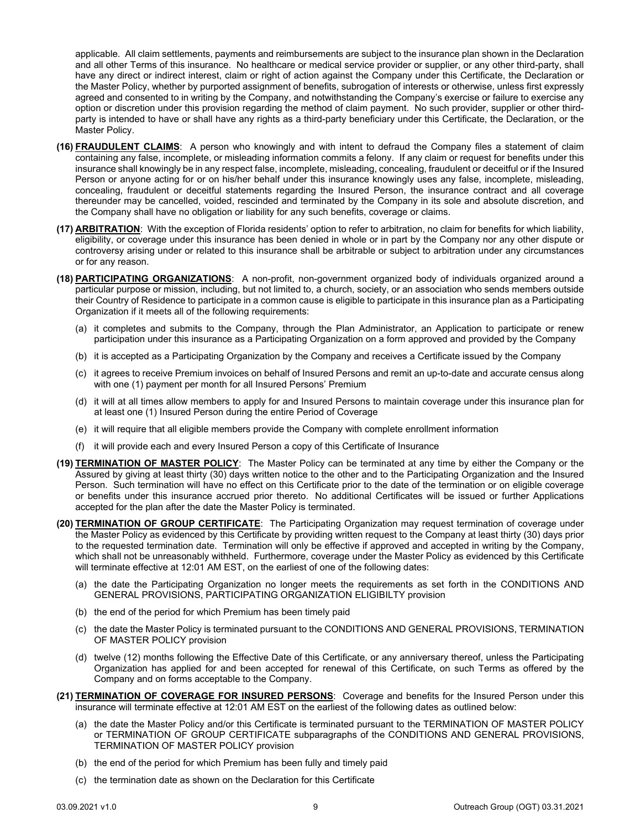applicable. All claim settlements, payments and reimbursements are subject to the insurance plan shown in the Declaration and all other Terms of this insurance. No healthcare or medical service provider or supplier, or any other third-party, shall have any direct or indirect interest, claim or right of action against the Company under this Certificate, the Declaration or the Master Policy, whether by purported assignment of benefits, subrogation of interests or otherwise, unless first expressly agreed and consented to in writing by the Company, and notwithstanding the Company's exercise or failure to exercise any option or discretion under this provision regarding the method of claim payment. No such provider, supplier or other thirdparty is intended to have or shall have any rights as a third-party beneficiary under this Certificate, the Declaration, or the Master Policy.

- **(16) FRAUDULENT CLAIMS**: A person who knowingly and with intent to defraud the Company files a statement of claim containing any false, incomplete, or misleading information commits a felony. If any claim or request for benefits under this insurance shall knowingly be in any respect false, incomplete, misleading, concealing, fraudulent or deceitful or if the Insured Person or anyone acting for or on his/her behalf under this insurance knowingly uses any false, incomplete, misleading, concealing, fraudulent or deceitful statements regarding the Insured Person, the insurance contract and all coverage thereunder may be cancelled, voided, rescinded and terminated by the Company in its sole and absolute discretion, and the Company shall have no obligation or liability for any such benefits, coverage or claims.
- **(17) ARBITRATION**: With the exception of Florida residents' option to refer to arbitration, no claim for benefits for which liability, eligibility, or coverage under this insurance has been denied in whole or in part by the Company nor any other dispute or controversy arising under or related to this insurance shall be arbitrable or subject to arbitration under any circumstances or for any reason.
- **(18) PARTICIPATING ORGANIZATIONS**: A non-profit, non-government organized body of individuals organized around a particular purpose or mission, including, but not limited to, a church, society, or an association who sends members outside their Country of Residence to participate in a common cause is eligible to participate in this insurance plan as a Participating Organization if it meets all of the following requirements:
	- (a) it completes and submits to the Company, through the Plan Administrator, an Application to participate or renew participation under this insurance as a Participating Organization on a form approved and provided by the Company
	- (b) it is accepted as a Participating Organization by the Company and receives a Certificate issued by the Company
	- (c) it agrees to receive Premium invoices on behalf of Insured Persons and remit an up-to-date and accurate census along with one (1) payment per month for all Insured Persons' Premium
	- (d) it will at all times allow members to apply for and Insured Persons to maintain coverage under this insurance plan for at least one (1) Insured Person during the entire Period of Coverage
	- (e) it will require that all eligible members provide the Company with complete enrollment information
	- (f) it will provide each and every Insured Person a copy of this Certificate of Insurance
- **(19) TERMINATION OF MASTER POLICY**: The Master Policy can be terminated at any time by either the Company or the Assured by giving at least thirty (30) days written notice to the other and to the Participating Organization and the Insured Person. Such termination will have no effect on this Certificate prior to the date of the termination or on eligible coverage or benefits under this insurance accrued prior thereto. No additional Certificates will be issued or further Applications accepted for the plan after the date the Master Policy is terminated.
- **(20) TERMINATION OF GROUP CERTIFICATE**: The Participating Organization may request termination of coverage under the Master Policy as evidenced by this Certificate by providing written request to the Company at least thirty (30) days prior to the requested termination date. Termination will only be effective if approved and accepted in writing by the Company, which shall not be unreasonably withheld. Furthermore, coverage under the Master Policy as evidenced by this Certificate will terminate effective at 12:01 AM EST, on the earliest of one of the following dates:
	- (a) the date the Participating Organization no longer meets the requirements as set forth in the CONDITIONS AND GENERAL PROVISIONS, PARTICIPATING ORGANIZATION ELIGIBILTY provision
	- (b) the end of the period for which Premium has been timely paid
	- (c) the date the Master Policy is terminated pursuant to the CONDITIONS AND GENERAL PROVISIONS, TERMINATION OF MASTER POLICY provision
	- (d) twelve (12) months following the Effective Date of this Certificate, or any anniversary thereof, unless the Participating Organization has applied for and been accepted for renewal of this Certificate, on such Terms as offered by the Company and on forms acceptable to the Company.
- **(21) TERMINATION OF COVERAGE FOR INSURED PERSONS**: Coverage and benefits for the Insured Person under this insurance will terminate effective at 12:01 AM EST on the earliest of the following dates as outlined below:
	- (a) the date the Master Policy and/or this Certificate is terminated pursuant to the TERMINATION OF MASTER POLICY or TERMINATION OF GROUP CERTIFICATE subparagraphs of the CONDITIONS AND GENERAL PROVISIONS, TERMINATION OF MASTER POLICY provision
	- (b) the end of the period for which Premium has been fully and timely paid
	- (c) the termination date as shown on the Declaration for this Certificate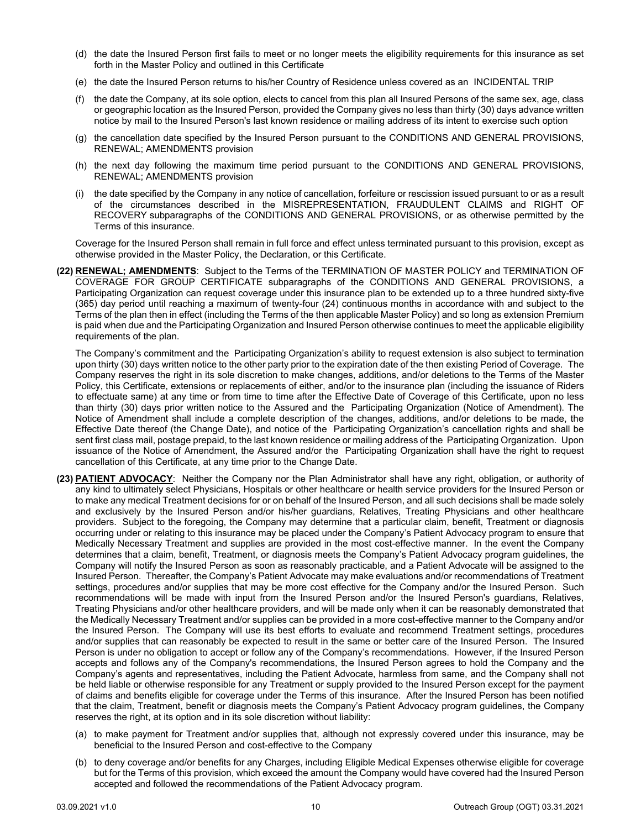- (d) the date the Insured Person first fails to meet or no longer meets the eligibility requirements for this insurance as set forth in the Master Policy and outlined in this Certificate
- (e) the date the Insured Person returns to his/her Country of Residence unless covered as an INCIDENTAL TRIP
- (f) the date the Company, at its sole option, elects to cancel from this plan all Insured Persons of the same sex, age, class or geographic location as the Insured Person, provided the Company gives no less than thirty (30) days advance written notice by mail to the Insured Person's last known residence or mailing address of its intent to exercise such option
- (g) the cancellation date specified by the Insured Person pursuant to the CONDITIONS AND GENERAL PROVISIONS, RENEWAL; AMENDMENTS provision
- (h) the next day following the maximum time period pursuant to the CONDITIONS AND GENERAL PROVISIONS, RENEWAL; AMENDMENTS provision
- (i) the date specified by the Company in any notice of cancellation, forfeiture or rescission issued pursuant to or as a result of the circumstances described in the MISREPRESENTATION, FRAUDULENT CLAIMS and RIGHT OF RECOVERY subparagraphs of the CONDITIONS AND GENERAL PROVISIONS, or as otherwise permitted by the Terms of this insurance.

Coverage for the Insured Person shall remain in full force and effect unless terminated pursuant to this provision, except as otherwise provided in the Master Policy, the Declaration, or this Certificate.

**(22) RENEWAL; AMENDMENTS**: Subject to the Terms of the TERMINATION OF MASTER POLICY and TERMINATION OF COVERAGE FOR GROUP CERTIFICATE subparagraphs of the CONDITIONS AND GENERAL PROVISIONS, a Participating Organization can request coverage under this insurance plan to be extended up to a three hundred sixty-five (365) day period until reaching a maximum of twenty-four (24) continuous months in accordance with and subject to the Terms of the plan then in effect (including the Terms of the then applicable Master Policy) and so long as extension Premium is paid when due and the Participating Organization and Insured Person otherwise continues to meet the applicable eligibility requirements of the plan.

The Company's commitment and the Participating Organization's ability to request extension is also subject to termination upon thirty (30) days written notice to the other party prior to the expiration date of the then existing Period of Coverage. The Company reserves the right in its sole discretion to make changes, additions, and/or deletions to the Terms of the Master Policy, this Certificate, extensions or replacements of either, and/or to the insurance plan (including the issuance of Riders to effectuate same) at any time or from time to time after the Effective Date of Coverage of this Certificate, upon no less than thirty (30) days prior written notice to the Assured and the Participating Organization (Notice of Amendment). The Notice of Amendment shall include a complete description of the changes, additions, and/or deletions to be made, the Effective Date thereof (the Change Date), and notice of the Participating Organization's cancellation rights and shall be sent first class mail, postage prepaid, to the last known residence or mailing address of the Participating Organization. Upon issuance of the Notice of Amendment, the Assured and/or the Participating Organization shall have the right to request cancellation of this Certificate, at any time prior to the Change Date.

- **(23) PATIENT ADVOCACY**: Neither the Company nor the Plan Administrator shall have any right, obligation, or authority of any kind to ultimately select Physicians, Hospitals or other healthcare or health service providers for the Insured Person or to make any medical Treatment decisions for or on behalf of the Insured Person, and all such decisions shall be made solely and exclusively by the Insured Person and/or his/her guardians, Relatives, Treating Physicians and other healthcare providers. Subject to the foregoing, the Company may determine that a particular claim, benefit, Treatment or diagnosis occurring under or relating to this insurance may be placed under the Company's Patient Advocacy program to ensure that Medically Necessary Treatment and supplies are provided in the most cost-effective manner. In the event the Company determines that a claim, benefit, Treatment, or diagnosis meets the Company's Patient Advocacy program guidelines, the Company will notify the Insured Person as soon as reasonably practicable, and a Patient Advocate will be assigned to the Insured Person. Thereafter, the Company's Patient Advocate may make evaluations and/or recommendations of Treatment settings, procedures and/or supplies that may be more cost effective for the Company and/or the Insured Person. Such recommendations will be made with input from the Insured Person and/or the Insured Person's guardians, Relatives, Treating Physicians and/or other healthcare providers, and will be made only when it can be reasonably demonstrated that the Medically Necessary Treatment and/or supplies can be provided in a more cost-effective manner to the Company and/or the Insured Person. The Company will use its best efforts to evaluate and recommend Treatment settings, procedures and/or supplies that can reasonably be expected to result in the same or better care of the Insured Person. The Insured Person is under no obligation to accept or follow any of the Company's recommendations. However, if the Insured Person accepts and follows any of the Company's recommendations, the Insured Person agrees to hold the Company and the Company's agents and representatives, including the Patient Advocate, harmless from same, and the Company shall not be held liable or otherwise responsible for any Treatment or supply provided to the Insured Person except for the payment of claims and benefits eligible for coverage under the Terms of this insurance. After the Insured Person has been notified that the claim, Treatment, benefit or diagnosis meets the Company's Patient Advocacy program guidelines, the Company reserves the right, at its option and in its sole discretion without liability:
	- (a) to make payment for Treatment and/or supplies that, although not expressly covered under this insurance, may be beneficial to the Insured Person and cost-effective to the Company
	- (b) to deny coverage and/or benefits for any Charges, including Eligible Medical Expenses otherwise eligible for coverage but for the Terms of this provision, which exceed the amount the Company would have covered had the Insured Person accepted and followed the recommendations of the Patient Advocacy program.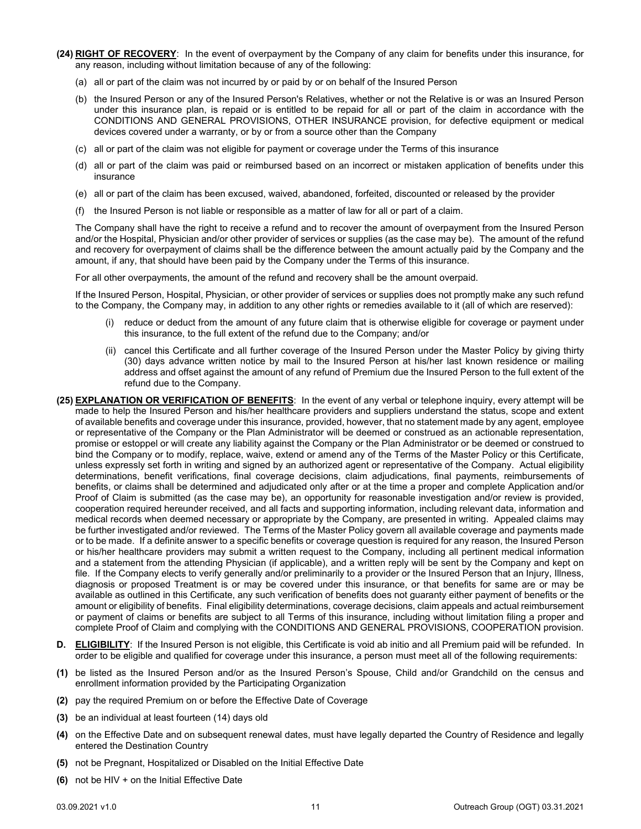- **(24) RIGHT OF RECOVERY**: In the event of overpayment by the Company of any claim for benefits under this insurance, for any reason, including without limitation because of any of the following:
	- (a) all or part of the claim was not incurred by or paid by or on behalf of the Insured Person
	- (b) the Insured Person or any of the Insured Person's Relatives, whether or not the Relative is or was an Insured Person under this insurance plan, is repaid or is entitled to be repaid for all or part of the claim in accordance with the CONDITIONS AND GENERAL PROVISIONS, OTHER INSURANCE provision, for defective equipment or medical devices covered under a warranty, or by or from a source other than the Company
	- (c) all or part of the claim was not eligible for payment or coverage under the Terms of this insurance
	- (d) all or part of the claim was paid or reimbursed based on an incorrect or mistaken application of benefits under this insurance
	- (e) all or part of the claim has been excused, waived, abandoned, forfeited, discounted or released by the provider
	- (f) the Insured Person is not liable or responsible as a matter of law for all or part of a claim.

The Company shall have the right to receive a refund and to recover the amount of overpayment from the Insured Person and/or the Hospital, Physician and/or other provider of services or supplies (as the case may be). The amount of the refund and recovery for overpayment of claims shall be the difference between the amount actually paid by the Company and the amount, if any, that should have been paid by the Company under the Terms of this insurance.

For all other overpayments, the amount of the refund and recovery shall be the amount overpaid.

If the Insured Person, Hospital, Physician, or other provider of services or supplies does not promptly make any such refund to the Company, the Company may, in addition to any other rights or remedies available to it (all of which are reserved):

- (i) reduce or deduct from the amount of any future claim that is otherwise eligible for coverage or payment under this insurance, to the full extent of the refund due to the Company; and/or
- (ii) cancel this Certificate and all further coverage of the Insured Person under the Master Policy by giving thirty (30) days advance written notice by mail to the Insured Person at his/her last known residence or mailing address and offset against the amount of any refund of Premium due the Insured Person to the full extent of the refund due to the Company.
- **(25) EXPLANATION OR VERIFICATION OF BENEFITS**: In the event of any verbal or telephone inquiry, every attempt will be made to help the Insured Person and his/her healthcare providers and suppliers understand the status, scope and extent of available benefits and coverage under this insurance, provided, however, that no statement made by any agent, employee or representative of the Company or the Plan Administrator will be deemed or construed as an actionable representation, promise or estoppel or will create any liability against the Company or the Plan Administrator or be deemed or construed to bind the Company or to modify, replace, waive, extend or amend any of the Terms of the Master Policy or this Certificate, unless expressly set forth in writing and signed by an authorized agent or representative of the Company. Actual eligibility determinations, benefit verifications, final coverage decisions, claim adjudications, final payments, reimbursements of benefits, or claims shall be determined and adjudicated only after or at the time a proper and complete Application and/or Proof of Claim is submitted (as the case may be), an opportunity for reasonable investigation and/or review is provided, cooperation required hereunder received, and all facts and supporting information, including relevant data, information and medical records when deemed necessary or appropriate by the Company, are presented in writing. Appealed claims may be further investigated and/or reviewed. The Terms of the Master Policy govern all available coverage and payments made or to be made. If a definite answer to a specific benefits or coverage question is required for any reason, the Insured Person or his/her healthcare providers may submit a written request to the Company, including all pertinent medical information and a statement from the attending Physician (if applicable), and a written reply will be sent by the Company and kept on file. If the Company elects to verify generally and/or preliminarily to a provider or the Insured Person that an Injury, Illness, diagnosis or proposed Treatment is or may be covered under this insurance, or that benefits for same are or may be available as outlined in this Certificate, any such verification of benefits does not guaranty either payment of benefits or the amount or eligibility of benefits. Final eligibility determinations, coverage decisions, claim appeals and actual reimbursement or payment of claims or benefits are subject to all Terms of this insurance, including without limitation filing a proper and complete Proof of Claim and complying with the CONDITIONS AND GENERAL PROVISIONS, COOPERATION provision.
- <span id="page-12-0"></span>**D. ELIGIBILITY**: If the Insured Person is not eligible, this Certificate is void ab initio and all Premium paid will be refunded. In order to be eligible and qualified for coverage under this insurance, a person must meet all of the following requirements:
- **(1)** be listed as the Insured Person and/or as the Insured Person's Spouse, Child and/or Grandchild on the census and enrollment information provided by the Participating Organization
- **(2)** pay the required Premium on or before the Effective Date of Coverage
- **(3)** be an individual at least fourteen (14) days old
- **(4)** on the Effective Date and on subsequent renewal dates, must have legally departed the Country of Residence and legally entered the Destination Country
- **(5)** not be Pregnant, Hospitalized or Disabled on the Initial Effective Date
- **(6)** not be HIV + on the Initial Effective Date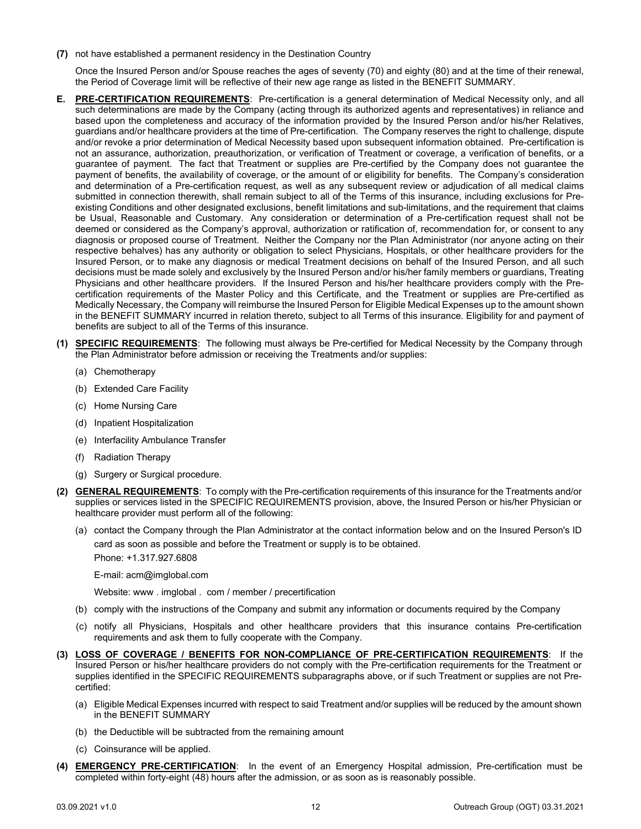**(7)** not have established a permanent residency in the Destination Country

Once the Insured Person and/or Spouse reaches the ages of seventy (70) and eighty (80) and at the time of their renewal, the Period of Coverage limit will be reflective of their new age range as listed in the BENEFIT SUMMARY.

- <span id="page-13-0"></span>**E. PRE-CERTIFICATION REQUIREMENTS**: Pre-certification is a general determination of Medical Necessity only, and all such determinations are made by the Company (acting through its authorized agents and representatives) in reliance and based upon the completeness and accuracy of the information provided by the Insured Person and/or his/her Relatives, guardians and/or healthcare providers at the time of Pre-certification. The Company reserves the right to challenge, dispute and/or revoke a prior determination of Medical Necessity based upon subsequent information obtained. Pre-certification is not an assurance, authorization, preauthorization, or verification of Treatment or coverage, a verification of benefits, or a guarantee of payment. The fact that Treatment or supplies are Pre-certified by the Company does not guarantee the payment of benefits, the availability of coverage, or the amount of or eligibility for benefits. The Company's consideration and determination of a Pre-certification request, as well as any subsequent review or adjudication of all medical claims submitted in connection therewith, shall remain subject to all of the Terms of this insurance, including exclusions for Preexisting Conditions and other designated exclusions, benefit limitations and sub-limitations, and the requirement that claims be Usual, Reasonable and Customary. Any consideration or determination of a Pre-certification request shall not be deemed or considered as the Company's approval, authorization or ratification of, recommendation for, or consent to any diagnosis or proposed course of Treatment. Neither the Company nor the Plan Administrator (nor anyone acting on their respective behalves) has any authority or obligation to select Physicians, Hospitals, or other healthcare providers for the Insured Person, or to make any diagnosis or medical Treatment decisions on behalf of the Insured Person, and all such decisions must be made solely and exclusively by the Insured Person and/or his/her family members or guardians, Treating Physicians and other healthcare providers. If the Insured Person and his/her healthcare providers comply with the Precertification requirements of the Master Policy and this Certificate, and the Treatment or supplies are Pre-certified as Medically Necessary, the Company will reimburse the Insured Person for Eligible Medical Expenses up to the amount shown in the BENEFIT SUMMARY incurred in relation thereto, subject to all Terms of this insurance. Eligibility for and payment of benefits are subject to all of the Terms of this insurance.
- **(1) SPECIFIC REQUIREMENTS**: The following must always be Pre-certified for Medical Necessity by the Company through the Plan Administrator before admission or receiving the Treatments and/or supplies:
	- (a) Chemotherapy
	- (b) Extended Care Facility
	- (c) Home Nursing Care
	- (d) Inpatient Hospitalization
	- (e) Interfacility Ambulance Transfer
	- (f) Radiation Therapy
	- (g) Surgery or Surgical procedure.
- **(2) GENERAL REQUIREMENTS**: To comply with the Pre-certification requirements of this insurance for the Treatments and/or supplies or services listed in the SPECIFIC REQUIREMENTS provision, above, the Insured Person or his/her Physician or healthcare provider must perform all of the following:
	- (a) contact the Company through the Plan Administrator at the contact information below and on the Insured Person's ID card as soon as possible and before the Treatment or supply is to be obtained.

Phone: +1.317.927.6808

E-mail: acm@imglobal.com

Website: www . imglobal . com / member / precertification

- (b) comply with the instructions of the Company and submit any information or documents required by the Company
- (c) notify all Physicians, Hospitals and other healthcare providers that this insurance contains Pre-certification requirements and ask them to fully cooperate with the Company.
- **(3) LOSS OF COVERAGE / BENEFITS FOR NON-COMPLIANCE OF PRE-CERTIFICATION REQUIREMENTS**: If the Insured Person or his/her healthcare providers do not comply with the Pre-certification requirements for the Treatment or supplies identified in the SPECIFIC REQUIREMENTS subparagraphs above, or if such Treatment or supplies are not Precertified:
	- (a) Eligible Medical Expenses incurred with respect to said Treatment and/or supplies will be reduced by the amount shown in the BENEFIT SUMMARY
	- (b) the Deductible will be subtracted from the remaining amount
	- (c) Coinsurance will be applied.
- **(4) EMERGENCY PRE-CERTIFICATION**: In the event of an Emergency Hospital admission, Pre-certification must be completed within forty-eight (48) hours after the admission, or as soon as is reasonably possible.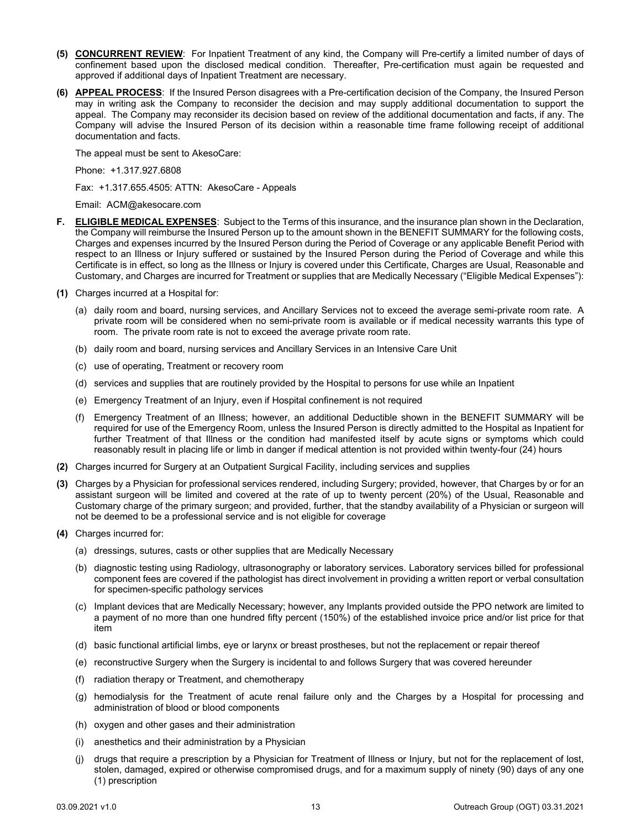- **(5) CONCURRENT REVIEW**: For Inpatient Treatment of any kind, the Company will Pre-certify a limited number of days of confinement based upon the disclosed medical condition. Thereafter, Pre-certification must again be requested and approved if additional days of Inpatient Treatment are necessary.
- **(6) APPEAL PROCESS**: If the Insured Person disagrees with a Pre-certification decision of the Company, the Insured Person may in writing ask the Company to reconsider the decision and may supply additional documentation to support the appeal. The Company may reconsider its decision based on review of the additional documentation and facts, if any. The Company will advise the Insured Person of its decision within a reasonable time frame following receipt of additional documentation and facts.

The appeal must be sent to AkesoCare:

Phone: +1.317.927.6808

Fax: +1.317.655.4505: ATTN: AkesoCare - Appeals

Email: ACM@akesocare.com

- <span id="page-14-0"></span>**F. ELIGIBLE MEDICAL EXPENSES**: Subject to the Terms of this insurance, and the insurance plan shown in the Declaration, the Company will reimburse the Insured Person up to the amount shown in the BENEFIT SUMMARY for the following costs, Charges and expenses incurred by the Insured Person during the Period of Coverage or any applicable Benefit Period with respect to an Illness or Injury suffered or sustained by the Insured Person during the Period of Coverage and while this Certificate is in effect, so long as the Illness or Injury is covered under this Certificate, Charges are Usual, Reasonable and Customary, and Charges are incurred for Treatment or supplies that are Medically Necessary ("Eligible Medical Expenses"):
- **(1)** Charges incurred at a Hospital for:
	- (a) daily room and board, nursing services, and Ancillary Services not to exceed the average semi-private room rate. A private room will be considered when no semi-private room is available or if medical necessity warrants this type of room. The private room rate is not to exceed the average private room rate.
	- (b) daily room and board, nursing services and Ancillary Services in an Intensive Care Unit
	- (c) use of operating, Treatment or recovery room
	- (d) services and supplies that are routinely provided by the Hospital to persons for use while an Inpatient
	- (e) Emergency Treatment of an Injury, even if Hospital confinement is not required
	- (f) Emergency Treatment of an Illness; however, an additional Deductible shown in the BENEFIT SUMMARY will be required for use of the Emergency Room, unless the Insured Person is directly admitted to the Hospital as Inpatient for further Treatment of that Illness or the condition had manifested itself by acute signs or symptoms which could reasonably result in placing life or limb in danger if medical attention is not provided within twenty-four (24) hours
- **(2)** Charges incurred for Surgery at an Outpatient Surgical Facility, including services and supplies
- **(3)** Charges by a Physician for professional services rendered, including Surgery; provided, however, that Charges by or for an assistant surgeon will be limited and covered at the rate of up to twenty percent (20%) of the Usual, Reasonable and Customary charge of the primary surgeon; and provided, further, that the standby availability of a Physician or surgeon will not be deemed to be a professional service and is not eligible for coverage
- **(4)** Charges incurred for:
	- (a) dressings, sutures, casts or other supplies that are Medically Necessary
	- (b) diagnostic testing using Radiology, ultrasonography or laboratory services. Laboratory services billed for professional component fees are covered if the pathologist has direct involvement in providing a written report or verbal consultation for specimen-specific pathology services
	- (c) Implant devices that are Medically Necessary; however, any Implants provided outside the PPO network are limited to a payment of no more than one hundred fifty percent (150%) of the established invoice price and/or list price for that item
	- (d) basic functional artificial limbs, eye or larynx or breast prostheses, but not the replacement or repair thereof
	- (e) reconstructive Surgery when the Surgery is incidental to and follows Surgery that was covered hereunder
	- (f) radiation therapy or Treatment, and chemotherapy
	- (g) hemodialysis for the Treatment of acute renal failure only and the Charges by a Hospital for processing and administration of blood or blood components
	- (h) oxygen and other gases and their administration
	- (i) anesthetics and their administration by a Physician
	- (j) drugs that require a prescription by a Physician for Treatment of Illness or Injury, but not for the replacement of lost, stolen, damaged, expired or otherwise compromised drugs, and for a maximum supply of ninety (90) days of any one (1) prescription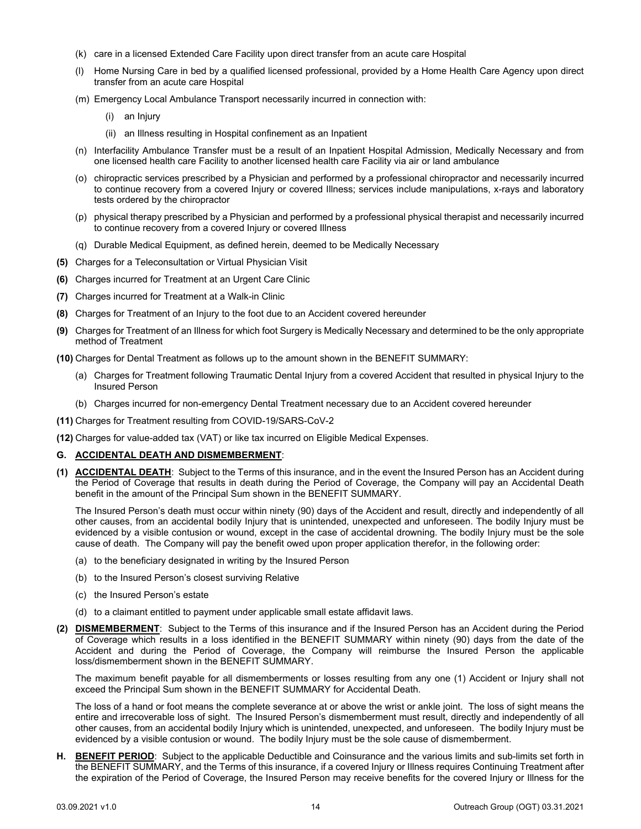- (k) care in a licensed Extended Care Facility upon direct transfer from an acute care Hospital
- (l) Home Nursing Care in bed by a qualified licensed professional, provided by a Home Health Care Agency upon direct transfer from an acute care Hospital
- (m) Emergency Local Ambulance Transport necessarily incurred in connection with:
	- (i) an Injury
	- (ii) an Illness resulting in Hospital confinement as an Inpatient
- (n) Interfacility Ambulance Transfer must be a result of an Inpatient Hospital Admission, Medically Necessary and from one licensed health care Facility to another licensed health care Facility via air or land ambulance
- (o) chiropractic services prescribed by a Physician and performed by a professional chiropractor and necessarily incurred to continue recovery from a covered Injury or covered Illness; services include manipulations, x-rays and laboratory tests ordered by the chiropractor
- (p) physical therapy prescribed by a Physician and performed by a professional physical therapist and necessarily incurred to continue recovery from a covered Injury or covered Illness
- (q) Durable Medical Equipment, as defined herein, deemed to be Medically Necessary
- **(5)** Charges for a Teleconsultation or Virtual Physician Visit
- **(6)** Charges incurred for Treatment at an Urgent Care Clinic
- **(7)** Charges incurred for Treatment at a Walk-in Clinic
- **(8)** Charges for Treatment of an Injury to the foot due to an Accident covered hereunder
- **(9)** Charges for Treatment of an Illness for which foot Surgery is Medically Necessary and determined to be the only appropriate method of Treatment
- **(10)** Charges for Dental Treatment as follows up to the amount shown in the BENEFIT SUMMARY:
	- (a) Charges for Treatment following Traumatic Dental Injury from a covered Accident that resulted in physical Injury to the Insured Person
	- (b) Charges incurred for non-emergency Dental Treatment necessary due to an Accident covered hereunder
- **(11)** Charges for Treatment resulting from COVID-19/SARS-CoV-2
- **(12)** Charges for value-added tax (VAT) or like tax incurred on Eligible Medical Expenses.

#### <span id="page-15-0"></span>**G. ACCIDENTAL DEATH AND DISMEMBERMENT**:

**(1) ACCIDENTAL DEATH**: Subject to the Terms of this insurance, and in the event the Insured Person has an Accident during the Period of Coverage that results in death during the Period of Coverage, the Company will pay an Accidental Death benefit in the amount of the Principal Sum shown in the BENEFIT SUMMARY.

The Insured Person's death must occur within ninety (90) days of the Accident and result, directly and independently of all other causes, from an accidental bodily Injury that is unintended, unexpected and unforeseen. The bodily Injury must be evidenced by a visible contusion or wound, except in the case of accidental drowning. The bodily Injury must be the sole cause of death. The Company will pay the benefit owed upon proper application therefor, in the following order:

- (a) to the beneficiary designated in writing by the Insured Person
- (b) to the Insured Person's closest surviving Relative
- (c) the Insured Person's estate
- (d) to a claimant entitled to payment under applicable small estate affidavit laws.
- **(2) DISMEMBERMENT**: Subject to the Terms of this insurance and if the Insured Person has an Accident during the Period of Coverage which results in a loss identified in the BENEFIT SUMMARY within ninety (90) days from the date of the Accident and during the Period of Coverage, the Company will reimburse the Insured Person the applicable loss/dismemberment shown in the BENEFIT SUMMARY.

The maximum benefit payable for all dismemberments or losses resulting from any one (1) Accident or Injury shall not exceed the Principal Sum shown in the BENEFIT SUMMARY for Accidental Death.

The loss of a hand or foot means the complete severance at or above the wrist or ankle joint. The loss of sight means the entire and irrecoverable loss of sight. The Insured Person's dismemberment must result, directly and independently of all other causes, from an accidental bodily Injury which is unintended, unexpected, and unforeseen. The bodily Injury must be evidenced by a visible contusion or wound. The bodily Injury must be the sole cause of dismemberment.

<span id="page-15-1"></span>**H. BENEFIT PERIOD**: Subject to the applicable Deductible and Coinsurance and the various limits and sub-limits set forth in the BENEFIT SUMMARY, and the Terms of this insurance, if a covered Injury or Illness requires Continuing Treatment after the expiration of the Period of Coverage, the Insured Person may receive benefits for the covered Injury or Illness for the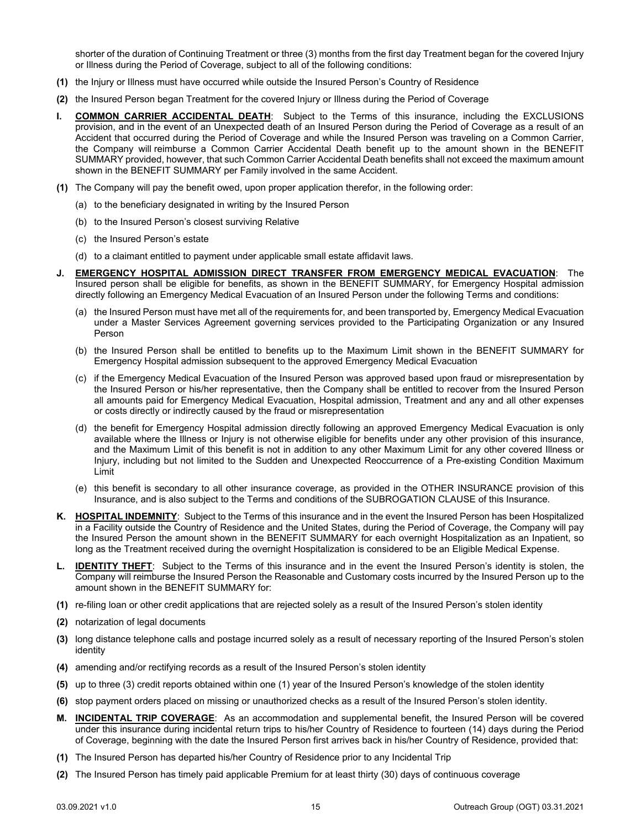shorter of the duration of Continuing Treatment or three (3) months from the first day Treatment began for the covered Injury or Illness during the Period of Coverage, subject to all of the following conditions:

- **(1)** the Injury or Illness must have occurred while outside the Insured Person's Country of Residence
- **(2)** the Insured Person began Treatment for the covered Injury or Illness during the Period of Coverage
- <span id="page-16-0"></span>**I. COMMON CARRIER ACCIDENTAL DEATH**: Subject to the Terms of this insurance, including the EXCLUSIONS provision, and in the event of an Unexpected death of an Insured Person during the Period of Coverage as a result of an Accident that occurred during the Period of Coverage and while the Insured Person was traveling on a Common Carrier, the Company will reimburse a Common Carrier Accidental Death benefit up to the amount shown in the BENEFIT SUMMARY provided, however, that such Common Carrier Accidental Death benefits shall not exceed the maximum amount shown in the BENEFIT SUMMARY per Family involved in the same Accident.
- **(1)** The Company will pay the benefit owed, upon proper application therefor, in the following order:
	- (a) to the beneficiary designated in writing by the Insured Person
	- (b) to the Insured Person's closest surviving Relative
	- (c) the Insured Person's estate
	- (d) to a claimant entitled to payment under applicable small estate affidavit laws.
- <span id="page-16-1"></span>**J. EMERGENCY HOSPITAL ADMISSION DIRECT TRANSFER FROM EMERGENCY MEDICAL EVACUATION**: The Insured person shall be eligible for benefits, as shown in the BENEFIT SUMMARY, for Emergency Hospital admission directly following an Emergency Medical Evacuation of an Insured Person under the following Terms and conditions:
	- (a) the Insured Person must have met all of the requirements for, and been transported by, Emergency Medical Evacuation under a Master Services Agreement governing services provided to the Participating Organization or any Insured Person
	- (b) the Insured Person shall be entitled to benefits up to the Maximum Limit shown in the BENEFIT SUMMARY for Emergency Hospital admission subsequent to the approved Emergency Medical Evacuation
	- (c) if the Emergency Medical Evacuation of the Insured Person was approved based upon fraud or misrepresentation by the Insured Person or his/her representative, then the Company shall be entitled to recover from the Insured Person all amounts paid for Emergency Medical Evacuation, Hospital admission, Treatment and any and all other expenses or costs directly or indirectly caused by the fraud or misrepresentation
	- (d) the benefit for Emergency Hospital admission directly following an approved Emergency Medical Evacuation is only available where the Illness or Injury is not otherwise eligible for benefits under any other provision of this insurance, and the Maximum Limit of this benefit is not in addition to any other Maximum Limit for any other covered Illness or Injury, including but not limited to the Sudden and Unexpected Reoccurrence of a Pre-existing Condition Maximum Limit
	- (e) this benefit is secondary to all other insurance coverage, as provided in the OTHER INSURANCE provision of this Insurance, and is also subject to the Terms and conditions of the SUBROGATION CLAUSE of this Insurance.
- <span id="page-16-2"></span>**K. HOSPITAL INDEMNITY**: Subject to the Terms of this insurance and in the event the Insured Person has been Hospitalized in a Facility outside the Country of Residence and the United States, during the Period of Coverage, the Company will pay the Insured Person the amount shown in the BENEFIT SUMMARY for each overnight Hospitalization as an Inpatient, so long as the Treatment received during the overnight Hospitalization is considered to be an Eligible Medical Expense.
- <span id="page-16-3"></span>**IDENTITY THEFT:** Subject to the Terms of this insurance and in the event the Insured Person's identity is stolen, the Company will reimburse the Insured Person the Reasonable and Customary costs incurred by the Insured Person up to the amount shown in the BENEFIT SUMMARY for:
- **(1)** re-filing loan or other credit applications that are rejected solely as a result of the Insured Person's stolen identity
- **(2)** notarization of legal documents
- **(3)** long distance telephone calls and postage incurred solely as a result of necessary reporting of the Insured Person's stolen identity
- **(4)** amending and/or rectifying records as a result of the Insured Person's stolen identity
- **(5)** up to three (3) credit reports obtained within one (1) year of the Insured Person's knowledge of the stolen identity
- **(6)** stop payment orders placed on missing or unauthorized checks as a result of the Insured Person's stolen identity.
- <span id="page-16-4"></span>**M. INCIDENTAL TRIP COVERAGE**: As an accommodation and supplemental benefit, the Insured Person will be covered under this insurance during incidental return trips to his/her Country of Residence to fourteen (14) days during the Period of Coverage, beginning with the date the Insured Person first arrives back in his/her Country of Residence, provided that:
- **(1)** The Insured Person has departed his/her Country of Residence prior to any Incidental Trip
- **(2)** The Insured Person has timely paid applicable Premium for at least thirty (30) days of continuous coverage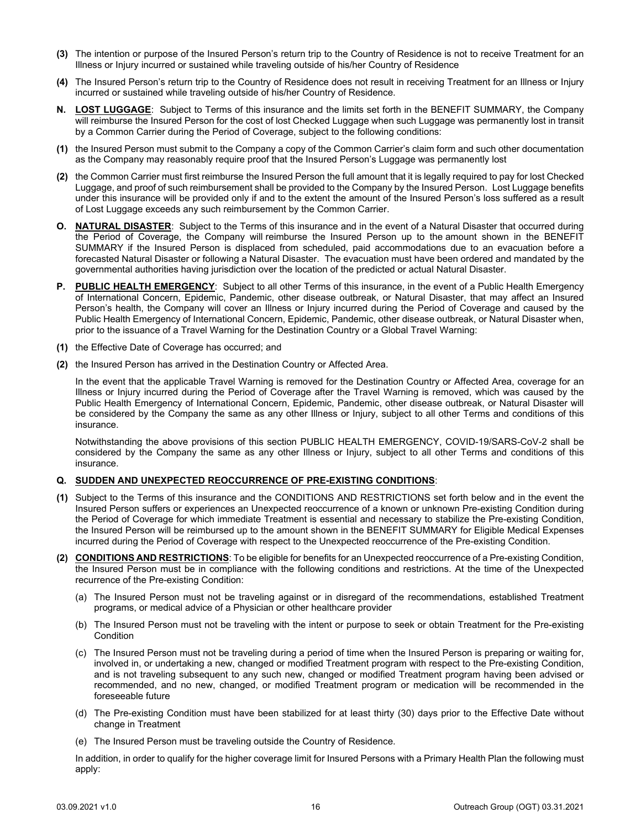- **(3)** The intention or purpose of the Insured Person's return trip to the Country of Residence is not to receive Treatment for an Illness or Injury incurred or sustained while traveling outside of his/her Country of Residence
- **(4)** The Insured Person's return trip to the Country of Residence does not result in receiving Treatment for an Illness or Injury incurred or sustained while traveling outside of his/her Country of Residence.
- <span id="page-17-0"></span>**N. LOST LUGGAGE**: Subject to Terms of this insurance and the limits set forth in the BENEFIT SUMMARY, the Company will reimburse the Insured Person for the cost of lost Checked Luggage when such Luggage was permanently lost in transit by a Common Carrier during the Period of Coverage, subject to the following conditions:
- **(1)** the Insured Person must submit to the Company a copy of the Common Carrier's claim form and such other documentation as the Company may reasonably require proof that the Insured Person's Luggage was permanently lost
- **(2)** the Common Carrier must first reimburse the Insured Person the full amount that it is legally required to pay for lost Checked Luggage, and proof of such reimbursement shall be provided to the Company by the Insured Person. Lost Luggage benefits under this insurance will be provided only if and to the extent the amount of the Insured Person's loss suffered as a result of Lost Luggage exceeds any such reimbursement by the Common Carrier.
- <span id="page-17-1"></span>**O. NATURAL DISASTER**: Subject to the Terms of this insurance and in the event of a Natural Disaster that occurred during the Period of Coverage, the Company will reimburse the Insured Person up to the amount shown in the BENEFIT SUMMARY if the Insured Person is displaced from scheduled, paid accommodations due to an evacuation before a forecasted Natural Disaster or following a Natural Disaster. The evacuation must have been ordered and mandated by the governmental authorities having jurisdiction over the location of the predicted or actual Natural Disaster.
- <span id="page-17-2"></span>**P. PUBLIC HEALTH EMERGENCY**: Subject to all other Terms of this insurance, in the event of a Public Health Emergency of International Concern, Epidemic, Pandemic, other disease outbreak, or Natural Disaster, that may affect an Insured Person's health, the Company will cover an Illness or Injury incurred during the Period of Coverage and caused by the Public Health Emergency of International Concern, Epidemic, Pandemic, other disease outbreak, or Natural Disaster when, prior to the issuance of a Travel Warning for the Destination Country or a Global Travel Warning:
- **(1)** the Effective Date of Coverage has occurred; and
- **(2)** the Insured Person has arrived in the Destination Country or Affected Area.

In the event that the applicable Travel Warning is removed for the Destination Country or Affected Area, coverage for an Illness or Injury incurred during the Period of Coverage after the Travel Warning is removed, which was caused by the Public Health Emergency of International Concern, Epidemic, Pandemic, other disease outbreak, or Natural Disaster will be considered by the Company the same as any other Illness or Injury, subject to all other Terms and conditions of this insurance.

Notwithstanding the above provisions of this section PUBLIC HEALTH EMERGENCY, COVID-19/SARS-CoV-2 shall be considered by the Company the same as any other Illness or Injury, subject to all other Terms and conditions of this insurance.

#### <span id="page-17-3"></span>**Q. SUDDEN AND UNEXPECTED REOCCURRENCE OF PRE-EXISTING CONDITIONS**:

- **(1)** Subject to the Terms of this insurance and the CONDITIONS AND RESTRICTIONS set forth below and in the event the Insured Person suffers or experiences an Unexpected reoccurrence of a known or unknown Pre-existing Condition during the Period of Coverage for which immediate Treatment is essential and necessary to stabilize the Pre-existing Condition, the Insured Person will be reimbursed up to the amount shown in the BENEFIT SUMMARY for Eligible Medical Expenses incurred during the Period of Coverage with respect to the Unexpected reoccurrence of the Pre-existing Condition.
- **(2) CONDITIONS AND RESTRICTIONS**: To be eligible for benefits for an Unexpected reoccurrence of a Pre-existing Condition, the Insured Person must be in compliance with the following conditions and restrictions. At the time of the Unexpected recurrence of the Pre-existing Condition:
	- (a) The Insured Person must not be traveling against or in disregard of the recommendations, established Treatment programs, or medical advice of a Physician or other healthcare provider
	- (b) The Insured Person must not be traveling with the intent or purpose to seek or obtain Treatment for the Pre-existing **Condition**
	- (c) The Insured Person must not be traveling during a period of time when the Insured Person is preparing or waiting for, involved in, or undertaking a new, changed or modified Treatment program with respect to the Pre-existing Condition, and is not traveling subsequent to any such new, changed or modified Treatment program having been advised or recommended, and no new, changed, or modified Treatment program or medication will be recommended in the foreseeable future
	- (d) The Pre-existing Condition must have been stabilized for at least thirty (30) days prior to the Effective Date without change in Treatment
	- (e) The Insured Person must be traveling outside the Country of Residence.

In addition, in order to qualify for the higher coverage limit for Insured Persons with a Primary Health Plan the following must apply: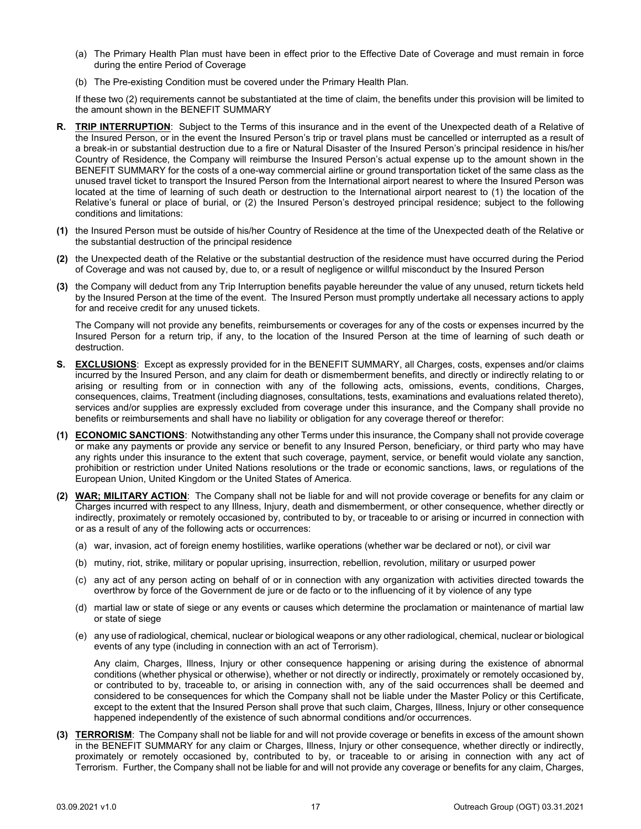- (a) The Primary Health Plan must have been in effect prior to the Effective Date of Coverage and must remain in force during the entire Period of Coverage
- (b) The Pre-existing Condition must be covered under the Primary Health Plan.

If these two (2) requirements cannot be substantiated at the time of claim, the benefits under this provision will be limited to the amount shown in the BENEFIT SUMMARY

- <span id="page-18-0"></span>**R. TRIP INTERRUPTION**: Subject to the Terms of this insurance and in the event of the Unexpected death of a Relative of the Insured Person, or in the event the Insured Person's trip or travel plans must be cancelled or interrupted as a result of a break-in or substantial destruction due to a fire or Natural Disaster of the Insured Person's principal residence in his/her Country of Residence, the Company will reimburse the Insured Person's actual expense up to the amount shown in the BENEFIT SUMMARY for the costs of a one-way commercial airline or ground transportation ticket of the same class as the unused travel ticket to transport the Insured Person from the International airport nearest to where the Insured Person was located at the time of learning of such death or destruction to the International airport nearest to (1) the location of the Relative's funeral or place of burial, or (2) the Insured Person's destroyed principal residence; subject to the following conditions and limitations:
- **(1)** the Insured Person must be outside of his/her Country of Residence at the time of the Unexpected death of the Relative or the substantial destruction of the principal residence
- **(2)** the Unexpected death of the Relative or the substantial destruction of the residence must have occurred during the Period of Coverage and was not caused by, due to, or a result of negligence or willful misconduct by the Insured Person
- **(3)** the Company will deduct from any Trip Interruption benefits payable hereunder the value of any unused, return tickets held by the Insured Person at the time of the event. The Insured Person must promptly undertake all necessary actions to apply for and receive credit for any unused tickets.

The Company will not provide any benefits, reimbursements or coverages for any of the costs or expenses incurred by the Insured Person for a return trip, if any, to the location of the Insured Person at the time of learning of such death or destruction.

- <span id="page-18-1"></span>**S. EXCLUSIONS**: Except as expressly provided for in the BENEFIT SUMMARY, all Charges, costs, expenses and/or claims incurred by the Insured Person, and any claim for death or dismemberment benefits, and directly or indirectly relating to or arising or resulting from or in connection with any of the following acts, omissions, events, conditions, Charges, consequences, claims, Treatment (including diagnoses, consultations, tests, examinations and evaluations related thereto), services and/or supplies are expressly excluded from coverage under this insurance, and the Company shall provide no benefits or reimbursements and shall have no liability or obligation for any coverage thereof or therefor:
- **(1) ECONOMIC SANCTIONS**: Notwithstanding any other Terms under this insurance, the Company shall not provide coverage or make any payments or provide any service or benefit to any Insured Person, beneficiary, or third party who may have any rights under this insurance to the extent that such coverage, payment, service, or benefit would violate any sanction, prohibition or restriction under United Nations resolutions or the trade or economic sanctions, laws, or regulations of the European Union, United Kingdom or the United States of America.
- **(2) WAR; MILITARY ACTION**: The Company shall not be liable for and will not provide coverage or benefits for any claim or Charges incurred with respect to any Illness, Injury, death and dismemberment, or other consequence, whether directly or indirectly, proximately or remotely occasioned by, contributed to by, or traceable to or arising or incurred in connection with or as a result of any of the following acts or occurrences:
	- (a) war, invasion, act of foreign enemy hostilities, warlike operations (whether war be declared or not), or civil war
	- (b) mutiny, riot, strike, military or popular uprising, insurrection, rebellion, revolution, military or usurped power
	- (c) any act of any person acting on behalf of or in connection with any organization with activities directed towards the overthrow by force of the Government de jure or de facto or to the influencing of it by violence of any type
	- (d) martial law or state of siege or any events or causes which determine the proclamation or maintenance of martial law or state of siege
	- (e) any use of radiological, chemical, nuclear or biological weapons or any other radiological, chemical, nuclear or biological events of any type (including in connection with an act of Terrorism).

Any claim, Charges, Illness, Injury or other consequence happening or arising during the existence of abnormal conditions (whether physical or otherwise), whether or not directly or indirectly, proximately or remotely occasioned by, or contributed to by, traceable to, or arising in connection with, any of the said occurrences shall be deemed and considered to be consequences for which the Company shall not be liable under the Master Policy or this Certificate, except to the extent that the Insured Person shall prove that such claim, Charges, Illness, Injury or other consequence happened independently of the existence of such abnormal conditions and/or occurrences.

**(3) TERRORISM**: The Company shall not be liable for and will not provide coverage or benefits in excess of the amount shown in the BENEFIT SUMMARY for any claim or Charges, Illness, Injury or other consequence, whether directly or indirectly, proximately or remotely occasioned by, contributed to by, or traceable to or arising in connection with any act of Terrorism. Further, the Company shall not be liable for and will not provide any coverage or benefits for any claim, Charges,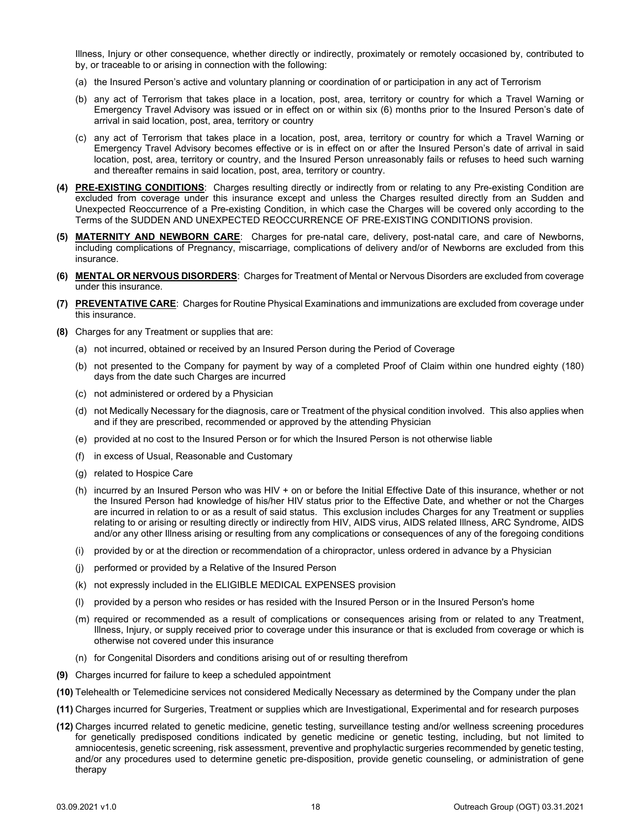Illness, Injury or other consequence, whether directly or indirectly, proximately or remotely occasioned by, contributed to by, or traceable to or arising in connection with the following:

- (a) the Insured Person's active and voluntary planning or coordination of or participation in any act of Terrorism
- (b) any act of Terrorism that takes place in a location, post, area, territory or country for which a Travel Warning or Emergency Travel Advisory was issued or in effect on or within six (6) months prior to the Insured Person's date of arrival in said location, post, area, territory or country
- (c) any act of Terrorism that takes place in a location, post, area, territory or country for which a Travel Warning or Emergency Travel Advisory becomes effective or is in effect on or after the Insured Person's date of arrival in said location, post, area, territory or country, and the Insured Person unreasonably fails or refuses to heed such warning and thereafter remains in said location, post, area, territory or country.
- **(4) PRE-EXISTING CONDITIONS**: Charges resulting directly or indirectly from or relating to any Pre-existing Condition are excluded from coverage under this insurance except and unless the Charges resulted directly from an Sudden and Unexpected Reoccurrence of a Pre-existing Condition, in which case the Charges will be covered only according to the Terms of the SUDDEN AND UNEXPECTED REOCCURRENCE OF PRE-EXISTING CONDITIONS provision.
- **(5) MATERNITY AND NEWBORN CARE**: Charges for pre-natal care, delivery, post-natal care, and care of Newborns, including complications of Pregnancy, miscarriage, complications of delivery and/or of Newborns are excluded from this insurance.
- **(6) MENTAL OR NERVOUS DISORDERS**: Charges for Treatment of Mental or Nervous Disorders are excluded from coverage under this insurance.
- **(7) PREVENTATIVE CARE**: Charges for Routine Physical Examinations and immunizations are excluded from coverage under this insurance.
- **(8)** Charges for any Treatment or supplies that are:
	- (a) not incurred, obtained or received by an Insured Person during the Period of Coverage
	- (b) not presented to the Company for payment by way of a completed Proof of Claim within one hundred eighty (180) days from the date such Charges are incurred
	- (c) not administered or ordered by a Physician
	- (d) not Medically Necessary for the diagnosis, care or Treatment of the physical condition involved. This also applies when and if they are prescribed, recommended or approved by the attending Physician
	- (e) provided at no cost to the Insured Person or for which the Insured Person is not otherwise liable
	- (f) in excess of Usual, Reasonable and Customary
	- (g) related to Hospice Care
	- (h) incurred by an Insured Person who was HIV + on or before the Initial Effective Date of this insurance, whether or not the Insured Person had knowledge of his/her HIV status prior to the Effective Date, and whether or not the Charges are incurred in relation to or as a result of said status. This exclusion includes Charges for any Treatment or supplies relating to or arising or resulting directly or indirectly from HIV, AIDS virus, AIDS related Illness, ARC Syndrome, AIDS and/or any other Illness arising or resulting from any complications or consequences of any of the foregoing conditions
	- (i) provided by or at the direction or recommendation of a chiropractor, unless ordered in advance by a Physician
	- (j) performed or provided by a Relative of the Insured Person
	- (k) not expressly included in the ELIGIBLE MEDICAL EXPENSES provision
	- (l) provided by a person who resides or has resided with the Insured Person or in the Insured Person's home
	- (m) required or recommended as a result of complications or consequences arising from or related to any Treatment, Illness, Injury, or supply received prior to coverage under this insurance or that is excluded from coverage or which is otherwise not covered under this insurance
	- (n) for Congenital Disorders and conditions arising out of or resulting therefrom
- **(9)** Charges incurred for failure to keep a scheduled appointment
- **(10)** Telehealth or Telemedicine services not considered Medically Necessary as determined by the Company under the plan
- **(11)** Charges incurred for Surgeries, Treatment or supplies which are Investigational, Experimental and for research purposes
- **(12)** Charges incurred related to genetic medicine, genetic testing, surveillance testing and/or wellness screening procedures for genetically predisposed conditions indicated by genetic medicine or genetic testing, including, but not limited to amniocentesis, genetic screening, risk assessment, preventive and prophylactic surgeries recommended by genetic testing, and/or any procedures used to determine genetic pre-disposition, provide genetic counseling, or administration of gene therapy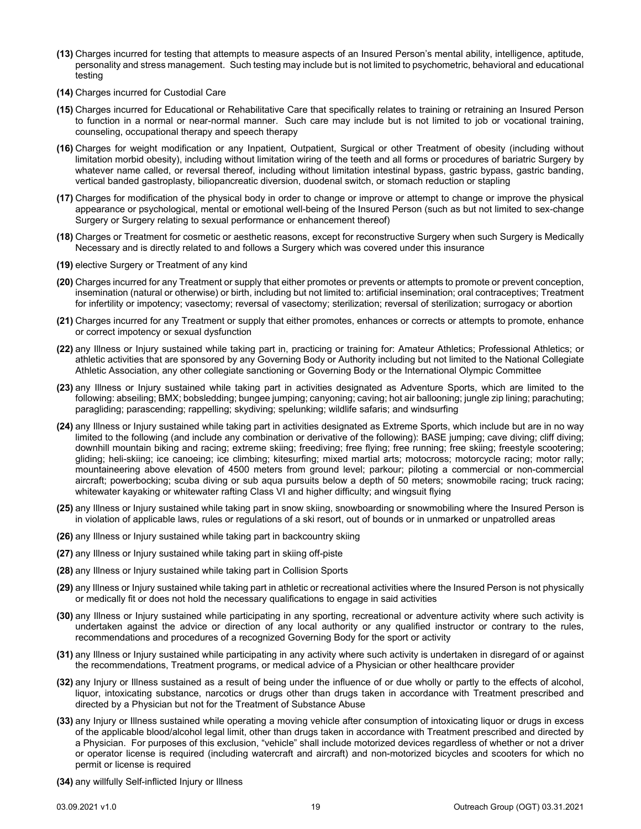- **(13)** Charges incurred for testing that attempts to measure aspects of an Insured Person's mental ability, intelligence, aptitude, personality and stress management. Such testing may include but is not limited to psychometric, behavioral and educational testing
- **(14)** Charges incurred for Custodial Care
- **(15)** Charges incurred for Educational or Rehabilitative Care that specifically relates to training or retraining an Insured Person to function in a normal or near-normal manner. Such care may include but is not limited to job or vocational training, counseling, occupational therapy and speech therapy
- **(16)** Charges for weight modification or any Inpatient, Outpatient, Surgical or other Treatment of obesity (including without limitation morbid obesity), including without limitation wiring of the teeth and all forms or procedures of bariatric Surgery by whatever name called, or reversal thereof, including without limitation intestinal bypass, gastric bypass, gastric banding, vertical banded gastroplasty, biliopancreatic diversion, duodenal switch, or stomach reduction or stapling
- **(17)** Charges for modification of the physical body in order to change or improve or attempt to change or improve the physical appearance or psychological, mental or emotional well-being of the Insured Person (such as but not limited to sex-change Surgery or Surgery relating to sexual performance or enhancement thereof)
- **(18)** Charges or Treatment for cosmetic or aesthetic reasons, except for reconstructive Surgery when such Surgery is Medically Necessary and is directly related to and follows a Surgery which was covered under this insurance
- **(19)** elective Surgery or Treatment of any kind
- **(20)** Charges incurred for any Treatment or supply that either promotes or prevents or attempts to promote or prevent conception, insemination (natural or otherwise) or birth, including but not limited to: artificial insemination; oral contraceptives; Treatment for infertility or impotency; vasectomy; reversal of vasectomy; sterilization; reversal of sterilization; surrogacy or abortion
- **(21)** Charges incurred for any Treatment or supply that either promotes, enhances or corrects or attempts to promote, enhance or correct impotency or sexual dysfunction
- **(22)** any Illness or Injury sustained while taking part in, practicing or training for: Amateur Athletics; Professional Athletics; or athletic activities that are sponsored by any Governing Body or Authority including but not limited to the National Collegiate Athletic Association, any other collegiate sanctioning or Governing Body or the International Olympic Committee
- **(23)** any Illness or Injury sustained while taking part in activities designated as Adventure Sports, which are limited to the following: abseiling; BMX; bobsledding; bungee jumping; canyoning; caving; hot air ballooning; jungle zip lining; parachuting; paragliding; parascending; rappelling; skydiving; spelunking; wildlife safaris; and windsurfing
- **(24)** any Illness or Injury sustained while taking part in activities designated as Extreme Sports, which include but are in no way limited to the following (and include any combination or derivative of the following): BASE jumping; cave diving; cliff diving; downhill mountain biking and racing; extreme skiing; freediving; free flying; free running; free skiing; freestyle scootering; gliding; heli-skiing; ice canoeing; ice climbing; kitesurfing; mixed martial arts; motocross; motorcycle racing; motor rally; mountaineering above elevation of 4500 meters from ground level; parkour; piloting a commercial or non-commercial aircraft; powerbocking; scuba diving or sub aqua pursuits below a depth of 50 meters; snowmobile racing; truck racing; whitewater kayaking or whitewater rafting Class VI and higher difficulty; and wingsuit flying
- **(25)** any Illness or Injury sustained while taking part in snow skiing, snowboarding or snowmobiling where the Insured Person is in violation of applicable laws, rules or regulations of a ski resort, out of bounds or in unmarked or unpatrolled areas
- **(26)** any Illness or Injury sustained while taking part in backcountry skiing
- **(27)** any Illness or Injury sustained while taking part in skiing off-piste
- **(28)** any Illness or Injury sustained while taking part in Collision Sports
- **(29)** any Illness or Injury sustained while taking part in athletic or recreational activities where the Insured Person is not physically or medically fit or does not hold the necessary qualifications to engage in said activities
- **(30)** any Illness or Injury sustained while participating in any sporting, recreational or adventure activity where such activity is undertaken against the advice or direction of any local authority or any qualified instructor or contrary to the rules, recommendations and procedures of a recognized Governing Body for the sport or activity
- **(31)** any Illness or Injury sustained while participating in any activity where such activity is undertaken in disregard of or against the recommendations, Treatment programs, or medical advice of a Physician or other healthcare provider
- **(32)** any Injury or Illness sustained as a result of being under the influence of or due wholly or partly to the effects of alcohol, liquor, intoxicating substance, narcotics or drugs other than drugs taken in accordance with Treatment prescribed and directed by a Physician but not for the Treatment of Substance Abuse
- **(33)** any Injury or Illness sustained while operating a moving vehicle after consumption of intoxicating liquor or drugs in excess of the applicable blood/alcohol legal limit, other than drugs taken in accordance with Treatment prescribed and directed by a Physician. For purposes of this exclusion, "vehicle" shall include motorized devices regardless of whether or not a driver or operator license is required (including watercraft and aircraft) and non-motorized bicycles and scooters for which no permit or license is required
- **(34)** any willfully Self-inflicted Injury or Illness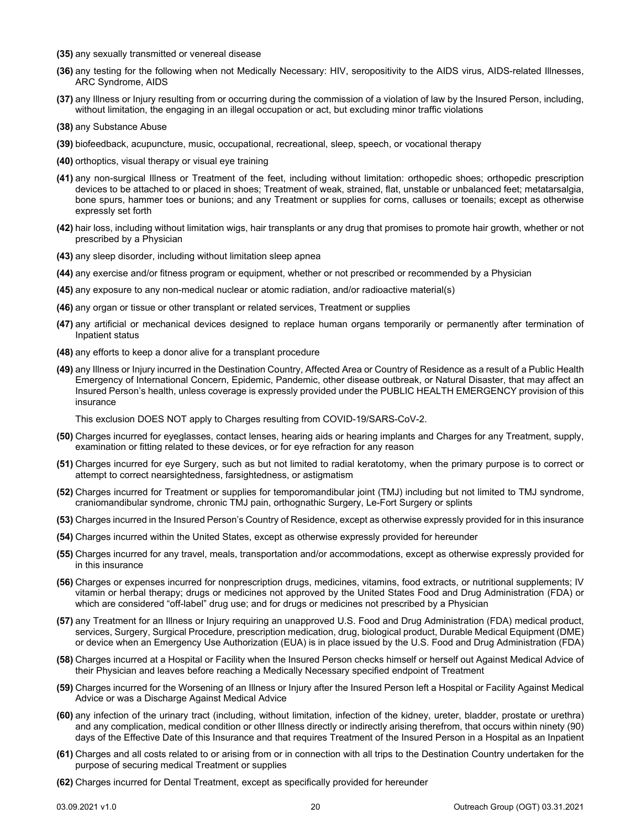- **(35)** any sexually transmitted or venereal disease
- **(36)** any testing for the following when not Medically Necessary: HIV, seropositivity to the AIDS virus, AIDS-related Illnesses, ARC Syndrome, AIDS
- **(37)** any Illness or Injury resulting from or occurring during the commission of a violation of law by the Insured Person, including, without limitation, the engaging in an illegal occupation or act, but excluding minor traffic violations
- **(38)** any Substance Abuse
- **(39)** biofeedback, acupuncture, music, occupational, recreational, sleep, speech, or vocational therapy
- **(40)** orthoptics, visual therapy or visual eye training
- **(41)** any non-surgical Illness or Treatment of the feet, including without limitation: orthopedic shoes; orthopedic prescription devices to be attached to or placed in shoes; Treatment of weak, strained, flat, unstable or unbalanced feet; metatarsalgia, bone spurs, hammer toes or bunions; and any Treatment or supplies for corns, calluses or toenails; except as otherwise expressly set forth
- **(42)** hair loss, including without limitation wigs, hair transplants or any drug that promises to promote hair growth, whether or not prescribed by a Physician
- **(43)** any sleep disorder, including without limitation sleep apnea
- **(44)** any exercise and/or fitness program or equipment, whether or not prescribed or recommended by a Physician
- **(45)** any exposure to any non-medical nuclear or atomic radiation, and/or radioactive material(s)
- **(46)** any organ or tissue or other transplant or related services, Treatment or supplies
- **(47)** any artificial or mechanical devices designed to replace human organs temporarily or permanently after termination of Inpatient status
- **(48)** any efforts to keep a donor alive for a transplant procedure
- **(49)** any Illness or Injury incurred in the Destination Country, Affected Area or Country of Residence as a result of a Public Health Emergency of International Concern, Epidemic, Pandemic, other disease outbreak, or Natural Disaster, that may affect an Insured Person's health, unless coverage is expressly provided under the PUBLIC HEALTH EMERGENCY provision of this insurance

This exclusion DOES NOT apply to Charges resulting from COVID-19/SARS-CoV-2.

- **(50)** Charges incurred for eyeglasses, contact lenses, hearing aids or hearing implants and Charges for any Treatment, supply, examination or fitting related to these devices, or for eye refraction for any reason
- **(51)** Charges incurred for eye Surgery, such as but not limited to radial keratotomy, when the primary purpose is to correct or attempt to correct nearsightedness, farsightedness, or astigmatism
- **(52)** Charges incurred for Treatment or supplies for temporomandibular joint (TMJ) including but not limited to TMJ syndrome, craniomandibular syndrome, chronic TMJ pain, orthognathic Surgery, Le-Fort Surgery or splints
- **(53)** Charges incurred in the Insured Person's Country of Residence, except as otherwise expressly provided for in this insurance
- **(54)** Charges incurred within the United States, except as otherwise expressly provided for hereunder
- **(55)** Charges incurred for any travel, meals, transportation and/or accommodations, except as otherwise expressly provided for in this insurance
- **(56)** Charges or expenses incurred for nonprescription drugs, medicines, vitamins, food extracts, or nutritional supplements; IV vitamin or herbal therapy; drugs or medicines not approved by the United States Food and Drug Administration (FDA) or which are considered "off-label" drug use; and for drugs or medicines not prescribed by a Physician
- **(57)** any Treatment for an Illness or Injury requiring an unapproved U.S. Food and Drug Administration (FDA) medical product, services, Surgery, Surgical Procedure, prescription medication, drug, biological product, Durable Medical Equipment (DME) or device when an Emergency Use Authorization (EUA) is in place issued by the U.S. Food and Drug Administration (FDA)
- **(58)** Charges incurred at a Hospital or Facility when the Insured Person checks himself or herself out Against Medical Advice of their Physician and leaves before reaching a Medically Necessary specified endpoint of Treatment
- **(59)** Charges incurred for the Worsening of an Illness or Injury after the Insured Person left a Hospital or Facility Against Medical Advice or was a Discharge Against Medical Advice
- **(60)** any infection of the urinary tract (including, without limitation, infection of the kidney, ureter, bladder, prostate or urethra) and any complication, medical condition or other Illness directly or indirectly arising therefrom, that occurs within ninety (90) days of the Effective Date of this Insurance and that requires Treatment of the Insured Person in a Hospital as an Inpatient
- **(61)** Charges and all costs related to or arising from or in connection with all trips to the Destination Country undertaken for the purpose of securing medical Treatment or supplies
- **(62)** Charges incurred for Dental Treatment, except as specifically provided for hereunder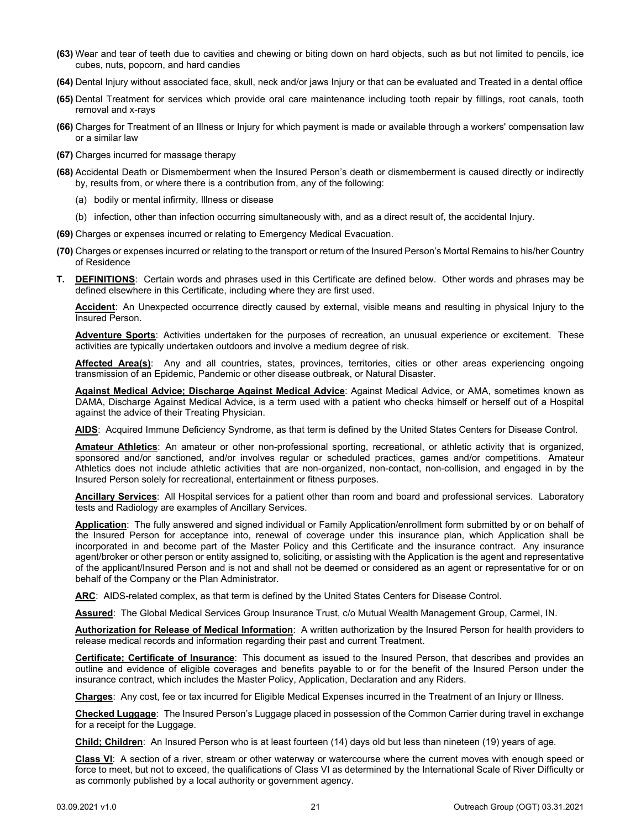- **(63)** Wear and tear of teeth due to cavities and chewing or biting down on hard objects, such as but not limited to pencils, ice cubes, nuts, popcorn, and hard candies
- **(64)** Dental Injury without associated face, skull, neck and/or jaws Injury or that can be evaluated and Treated in a dental office
- **(65)** Dental Treatment for services which provide oral care maintenance including tooth repair by fillings, root canals, tooth removal and x-rays
- **(66)** Charges for Treatment of an Illness or Injury for which payment is made or available through a workers' compensation law or a similar law
- **(67)** Charges incurred for massage therapy
- **(68)** Accidental Death or Dismemberment when the Insured Person's death or dismemberment is caused directly or indirectly by, results from, or where there is a contribution from, any of the following:
	- (a) bodily or mental infirmity, Illness or disease
	- (b) infection, other than infection occurring simultaneously with, and as a direct result of, the accidental Injury.
- **(69)** Charges or expenses incurred or relating to Emergency Medical Evacuation.
- **(70)** Charges or expenses incurred or relating to the transport or return of the Insured Person's Mortal Remains to his/her Country of Residence
- <span id="page-22-0"></span>**T. DEFINITIONS**: Certain words and phrases used in this Certificate are defined below. Other words and phrases may be defined elsewhere in this Certificate, including where they are first used.

**Accident**: An Unexpected occurrence directly caused by external, visible means and resulting in physical Injury to the Insured Person.

**Adventure Sports**: Activities undertaken for the purposes of recreation, an unusual experience or excitement. These activities are typically undertaken outdoors and involve a medium degree of risk.

**Affected Area(s)**: Any and all countries, states, provinces, territories, cities or other areas experiencing ongoing transmission of an Epidemic, Pandemic or other disease outbreak, or Natural Disaster.

**Against Medical Advice; Discharge Against Medical Advice**: Against Medical Advice, or AMA, sometimes known as DAMA, Discharge Against Medical Advice, is a term used with a patient who checks himself or herself out of a Hospital against the advice of their Treating Physician.

**AIDS**: Acquired Immune Deficiency Syndrome, as that term is defined by the United States Centers for Disease Control.

**Amateur Athletics**: An amateur or other non-professional sporting, recreational, or athletic activity that is organized, sponsored and/or sanctioned, and/or involves regular or scheduled practices, games and/or competitions. Amateur Athletics does not include athletic activities that are non-organized, non-contact, non-collision, and engaged in by the Insured Person solely for recreational, entertainment or fitness purposes.

**Ancillary Services**: All Hospital services for a patient other than room and board and professional services. Laboratory tests and Radiology are examples of Ancillary Services.

**Application**: The fully answered and signed individual or Family Application/enrollment form submitted by or on behalf of the Insured Person for acceptance into, renewal of coverage under this insurance plan, which Application shall be incorporated in and become part of the Master Policy and this Certificate and the insurance contract. Any insurance agent/broker or other person or entity assigned to, soliciting, or assisting with the Application is the agent and representative of the applicant/Insured Person and is not and shall not be deemed or considered as an agent or representative for or on behalf of the Company or the Plan Administrator.

**ARC**: AIDS-related complex, as that term is defined by the United States Centers for Disease Control.

**Assured**: The Global Medical Services Group Insurance Trust, c/o Mutual Wealth Management Group, Carmel, IN.

**Authorization for Release of Medical Information**: A written authorization by the Insured Person for health providers to release medical records and information regarding their past and current Treatment.

**Certificate; Certificate of Insurance**: This document as issued to the Insured Person, that describes and provides an outline and evidence of eligible coverages and benefits payable to or for the benefit of the Insured Person under the insurance contract, which includes the Master Policy, Application, Declaration and any Riders.

**Charges**: Any cost, fee or tax incurred for Eligible Medical Expenses incurred in the Treatment of an Injury or Illness.

**Checked Luggage**: The Insured Person's Luggage placed in possession of the Common Carrier during travel in exchange for a receipt for the Luggage.

**Child; Children**: An Insured Person who is at least fourteen (14) days old but less than nineteen (19) years of age.

**Class VI**: A section of a river, stream or other waterway or watercourse where the current moves with enough speed or force to meet, but not to exceed, the qualifications of Class VI as determined by the International Scale of River Difficulty or as commonly published by a local authority or government agency.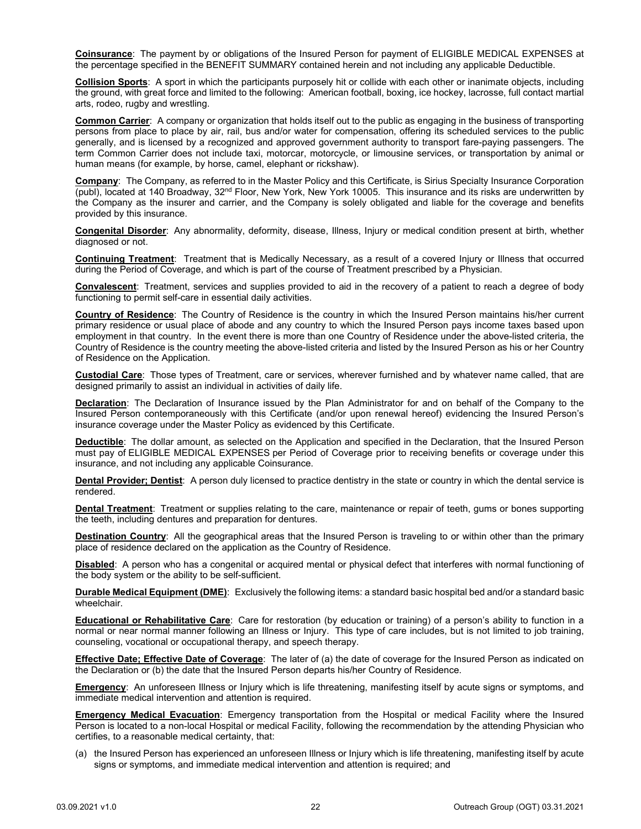**Coinsurance**: The payment by or obligations of the Insured Person for payment of ELIGIBLE MEDICAL EXPENSES at the percentage specified in the BENEFIT SUMMARY contained herein and not including any applicable Deductible.

**Collision Sports**: A sport in which the participants purposely hit or collide with each other or inanimate objects, including the ground, with great force and limited to the following: American football, boxing, ice hockey, lacrosse, full contact martial arts, rodeo, rugby and wrestling.

**Common Carrier**: A company or organization that holds itself out to the public as engaging in the business of transporting persons from place to place by air, rail, bus and/or water for compensation, offering its scheduled services to the public generally, and is licensed by a recognized and approved government authority to transport fare-paying passengers. The term Common Carrier does not include taxi, motorcar, motorcycle, or limousine services, or transportation by animal or human means (for example, by horse, camel, elephant or rickshaw).

**Company**: The Company, as referred to in the Master Policy and this Certificate, is Sirius Specialty Insurance Corporation (publ), located at 140 Broadway,  $32<sup>nd</sup>$  Floor, New York, New York 10005. This insurance and its risks are underwritten by the Company as the insurer and carrier, and the Company is solely obligated and liable for the coverage and benefits provided by this insurance.

**Congenital Disorder**: Any abnormality, deformity, disease, Illness, Injury or medical condition present at birth, whether diagnosed or not.

**Continuing Treatment**: Treatment that is Medically Necessary, as a result of a covered Injury or Illness that occurred during the Period of Coverage, and which is part of the course of Treatment prescribed by a Physician.

**Convalescent**: Treatment, services and supplies provided to aid in the recovery of a patient to reach a degree of body functioning to permit self-care in essential daily activities.

**Country of Residence**: The Country of Residence is the country in which the Insured Person maintains his/her current primary residence or usual place of abode and any country to which the Insured Person pays income taxes based upon employment in that country. In the event there is more than one Country of Residence under the above-listed criteria, the Country of Residence is the country meeting the above-listed criteria and listed by the Insured Person as his or her Country of Residence on the Application.

**Custodial Care**: Those types of Treatment, care or services, wherever furnished and by whatever name called, that are designed primarily to assist an individual in activities of daily life.

**Declaration**: The Declaration of Insurance issued by the Plan Administrator for and on behalf of the Company to the Insured Person contemporaneously with this Certificate (and/or upon renewal hereof) evidencing the Insured Person's insurance coverage under the Master Policy as evidenced by this Certificate.

**Deductible**: The dollar amount, as selected on the Application and specified in the Declaration, that the Insured Person must pay of ELIGIBLE MEDICAL EXPENSES per Period of Coverage prior to receiving benefits or coverage under this insurance, and not including any applicable Coinsurance.

**Dental Provider; Dentist**: A person duly licensed to practice dentistry in the state or country in which the dental service is rendered.

**Dental Treatment**: Treatment or supplies relating to the care, maintenance or repair of teeth, gums or bones supporting the teeth, including dentures and preparation for dentures.

**Destination Country**: All the geographical areas that the Insured Person is traveling to or within other than the primary place of residence declared on the application as the Country of Residence.

**Disabled**: A person who has a congenital or acquired mental or physical defect that interferes with normal functioning of the body system or the ability to be self-sufficient.

**Durable Medical Equipment (DME)**: Exclusively the following items: a standard basic hospital bed and/or a standard basic wheelchair.

**Educational or Rehabilitative Care**: Care for restoration (by education or training) of a person's ability to function in a normal or near normal manner following an Illness or Injury. This type of care includes, but is not limited to job training, counseling, vocational or occupational therapy, and speech therapy.

**Effective Date; Effective Date of Coverage**: The later of (a) the date of coverage for the Insured Person as indicated on the Declaration or (b) the date that the Insured Person departs his/her Country of Residence.

**Emergency**: An unforeseen Illness or Injury which is life threatening, manifesting itself by acute signs or symptoms, and immediate medical intervention and attention is required.

**Emergency Medical Evacuation**: Emergency transportation from the Hospital or medical Facility where the Insured Person is located to a non-local Hospital or medical Facility, following the recommendation by the attending Physician who certifies, to a reasonable medical certainty, that:

(a) the Insured Person has experienced an unforeseen Illness or Injury which is life threatening, manifesting itself by acute signs or symptoms, and immediate medical intervention and attention is required; and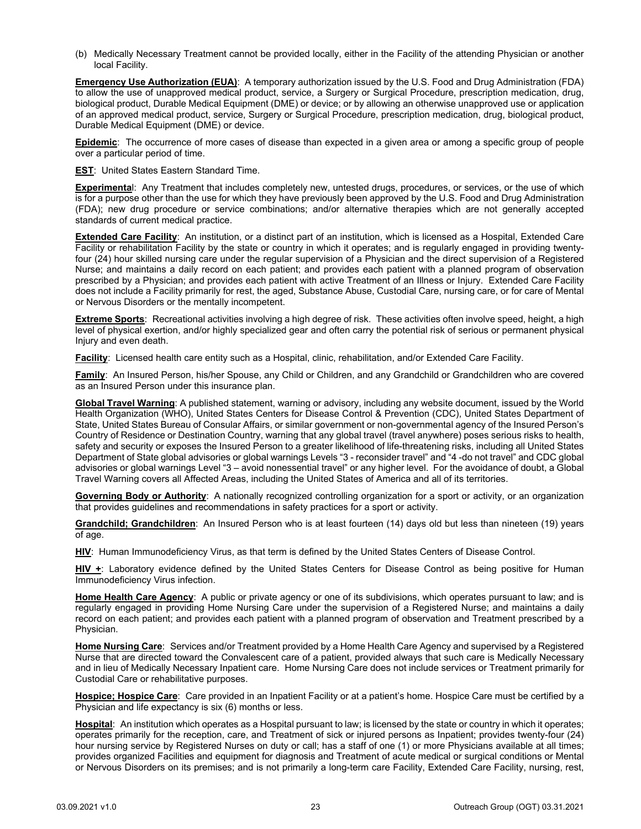(b) Medically Necessary Treatment cannot be provided locally, either in the Facility of the attending Physician or another local Facility.

**Emergency Use Authorization (EUA)**: A temporary authorization issued by the U.S. Food and Drug Administration (FDA) to allow the use of unapproved medical product, service, a Surgery or Surgical Procedure, prescription medication, drug, biological product, Durable Medical Equipment (DME) or device; or by allowing an otherwise unapproved use or application of an approved medical product, service, Surgery or Surgical Procedure, prescription medication, drug, biological product, Durable Medical Equipment (DME) or device.

**Epidemic**: The occurrence of more cases of disease than expected in a given area or among a specific group of people over a particular period of time.

**EST**: United States Eastern Standard Time.

**Experimenta**l: Any Treatment that includes completely new, untested drugs, procedures, or services, or the use of which is for a purpose other than the use for which they have previously been approved by the U.S. Food and Drug Administration (FDA); new drug procedure or service combinations; and/or alternative therapies which are not generally accepted standards of current medical practice.

**Extended Care Facility**: An institution, or a distinct part of an institution, which is licensed as a Hospital, Extended Care Facility or rehabilitation Facility by the state or country in which it operates; and is regularly engaged in providing twentyfour (24) hour skilled nursing care under the regular supervision of a Physician and the direct supervision of a Registered Nurse; and maintains a daily record on each patient; and provides each patient with a planned program of observation prescribed by a Physician; and provides each patient with active Treatment of an Illness or Injury. Extended Care Facility does not include a Facility primarily for rest, the aged, Substance Abuse, Custodial Care, nursing care, or for care of Mental or Nervous Disorders or the mentally incompetent.

**Extreme Sports**: Recreational activities involving a high degree of risk. These activities often involve speed, height, a high level of physical exertion, and/or highly specialized gear and often carry the potential risk of serious or permanent physical Injury and even death.

**Facility**: Licensed health care entity such as a Hospital, clinic, rehabilitation, and/or Extended Care Facility.

**Family**: An Insured Person, his/her Spouse, any Child or Children, and any Grandchild or Grandchildren who are covered as an Insured Person under this insurance plan.

**Global Travel Warning**: A published statement, warning or advisory, including any website document, issued by the World Health Organization (WHO), United States Centers for Disease Control & Prevention (CDC), United States Department of State, United States Bureau of Consular Affairs, or similar government or non-governmental agency of the Insured Person's Country of Residence or Destination Country, warning that any global travel (travel anywhere) poses serious risks to health, safety and security or exposes the Insured Person to a greater likelihood of life-threatening risks, including all United States Department of State global advisories or global warnings Levels "3 - reconsider travel" and "4 -do not travel" and CDC global advisories or global warnings Level "3 – avoid nonessential travel" or any higher level. For the avoidance of doubt, a Global Travel Warning covers all Affected Areas, including the United States of America and all of its territories.

**Governing Body or Authority**: A nationally recognized controlling organization for a sport or activity, or an organization that provides guidelines and recommendations in safety practices for a sport or activity.

**Grandchild; Grandchildren**: An Insured Person who is at least fourteen (14) days old but less than nineteen (19) years of age.

**HIV**: Human Immunodeficiency Virus, as that term is defined by the United States Centers of Disease Control.

**HIV +**: Laboratory evidence defined by the United States Centers for Disease Control as being positive for Human Immunodeficiency Virus infection.

**Home Health Care Agency**: A public or private agency or one of its subdivisions, which operates pursuant to law; and is regularly engaged in providing Home Nursing Care under the supervision of a Registered Nurse; and maintains a daily record on each patient; and provides each patient with a planned program of observation and Treatment prescribed by a Physician.

**Home Nursing Care**: Services and/or Treatment provided by a Home Health Care Agency and supervised by a Registered Nurse that are directed toward the Convalescent care of a patient, provided always that such care is Medically Necessary and in lieu of Medically Necessary Inpatient care. Home Nursing Care does not include services or Treatment primarily for Custodial Care or rehabilitative purposes.

**Hospice; Hospice Care**: Care provided in an Inpatient Facility or at a patient's home. Hospice Care must be certified by a Physician and life expectancy is six (6) months or less.

**Hospital**: An institution which operates as a Hospital pursuant to law; is licensed by the state or country in which it operates; operates primarily for the reception, care, and Treatment of sick or injured persons as Inpatient; provides twenty-four (24) hour nursing service by Registered Nurses on duty or call; has a staff of one (1) or more Physicians available at all times; provides organized Facilities and equipment for diagnosis and Treatment of acute medical or surgical conditions or Mental or Nervous Disorders on its premises; and is not primarily a long-term care Facility, Extended Care Facility, nursing, rest,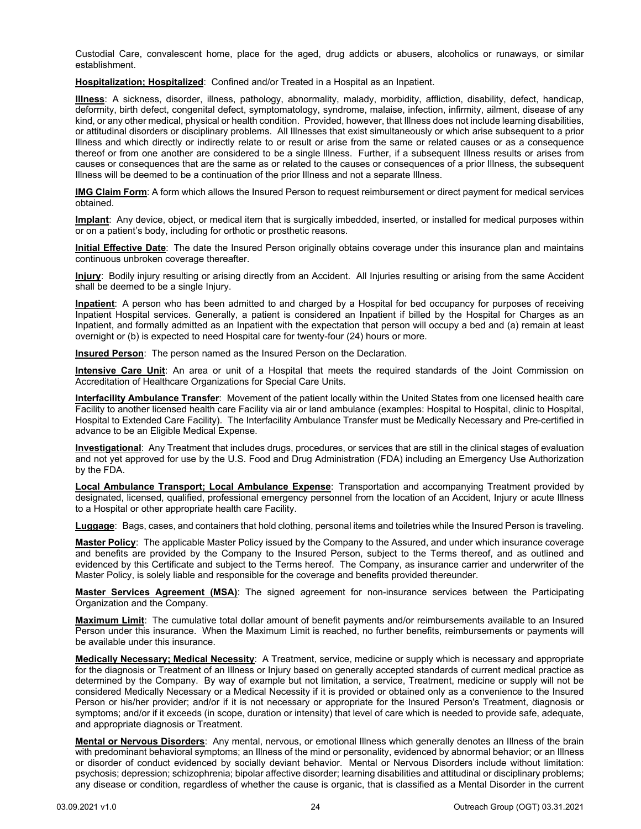Custodial Care, convalescent home, place for the aged, drug addicts or abusers, alcoholics or runaways, or similar establishment.

**Hospitalization; Hospitalized**: Confined and/or Treated in a Hospital as an Inpatient.

**Illness**: A sickness, disorder, illness, pathology, abnormality, malady, morbidity, affliction, disability, defect, handicap, deformity, birth defect, congenital defect, symptomatology, syndrome, malaise, infection, infirmity, ailment, disease of any kind, or any other medical, physical or health condition. Provided, however, that Illness does not include learning disabilities, or attitudinal disorders or disciplinary problems. All Illnesses that exist simultaneously or which arise subsequent to a prior Illness and which directly or indirectly relate to or result or arise from the same or related causes or as a consequence thereof or from one another are considered to be a single Illness. Further, if a subsequent Illness results or arises from causes or consequences that are the same as or related to the causes or consequences of a prior Illness, the subsequent Illness will be deemed to be a continuation of the prior Illness and not a separate Illness.

**IMG Claim Form**: A form which allows the Insured Person to request reimbursement or direct payment for medical services obtained.

**Implant**: Any device, object, or medical item that is surgically imbedded, inserted, or installed for medical purposes within or on a patient's body, including for orthotic or prosthetic reasons.

**Initial Effective Date**: The date the Insured Person originally obtains coverage under this insurance plan and maintains continuous unbroken coverage thereafter.

**Injury**: Bodily injury resulting or arising directly from an Accident. All Injuries resulting or arising from the same Accident shall be deemed to be a single Injury.

**Inpatient**: A person who has been admitted to and charged by a Hospital for bed occupancy for purposes of receiving Inpatient Hospital services. Generally, a patient is considered an Inpatient if billed by the Hospital for Charges as an Inpatient, and formally admitted as an Inpatient with the expectation that person will occupy a bed and (a) remain at least overnight or (b) is expected to need Hospital care for twenty-four (24) hours or more.

**Insured Person**: The person named as the Insured Person on the Declaration.

**Intensive Care Unit**: An area or unit of a Hospital that meets the required standards of the Joint Commission on Accreditation of Healthcare Organizations for Special Care Units.

**Interfacility Ambulance Transfer**: Movement of the patient locally within the United States from one licensed health care Facility to another licensed health care Facility via air or land ambulance (examples: Hospital to Hospital, clinic to Hospital, Hospital to Extended Care Facility). The Interfacility Ambulance Transfer must be Medically Necessary and Pre-certified in advance to be an Eligible Medical Expense.

**Investigational**: Any Treatment that includes drugs, procedures, or services that are still in the clinical stages of evaluation and not yet approved for use by the U.S. Food and Drug Administration (FDA) including an Emergency Use Authorization by the FDA.

**Local Ambulance Transport; Local Ambulance Expense**: Transportation and accompanying Treatment provided by designated, licensed, qualified, professional emergency personnel from the location of an Accident, Injury or acute Illness to a Hospital or other appropriate health care Facility.

**Luggage**: Bags, cases, and containers that hold clothing, personal items and toiletries while the Insured Person is traveling.

**Master Policy**: The applicable Master Policy issued by the Company to the Assured, and under which insurance coverage and benefits are provided by the Company to the Insured Person, subject to the Terms thereof, and as outlined and evidenced by this Certificate and subject to the Terms hereof. The Company, as insurance carrier and underwriter of the Master Policy, is solely liable and responsible for the coverage and benefits provided thereunder.

**Master Services Agreement (MSA)**: The signed agreement for non-insurance services between the Participating Organization and the Company.

**Maximum Limit**: The cumulative total dollar amount of benefit payments and/or reimbursements available to an Insured Person under this insurance. When the Maximum Limit is reached, no further benefits, reimbursements or payments will be available under this insurance.

**Medically Necessary; Medical Necessity**: A Treatment, service, medicine or supply which is necessary and appropriate for the diagnosis or Treatment of an Illness or Injury based on generally accepted standards of current medical practice as determined by the Company. By way of example but not limitation, a service, Treatment, medicine or supply will not be considered Medically Necessary or a Medical Necessity if it is provided or obtained only as a convenience to the Insured Person or his/her provider; and/or if it is not necessary or appropriate for the Insured Person's Treatment, diagnosis or symptoms; and/or if it exceeds (in scope, duration or intensity) that level of care which is needed to provide safe, adequate, and appropriate diagnosis or Treatment.

**Mental or Nervous Disorders**: Any mental, nervous, or emotional Illness which generally denotes an Illness of the brain with predominant behavioral symptoms; an Illness of the mind or personality, evidenced by abnormal behavior; or an Illness or disorder of conduct evidenced by socially deviant behavior. Mental or Nervous Disorders include without limitation: psychosis; depression; schizophrenia; bipolar affective disorder; learning disabilities and attitudinal or disciplinary problems; any disease or condition, regardless of whether the cause is organic, that is classified as a Mental Disorder in the current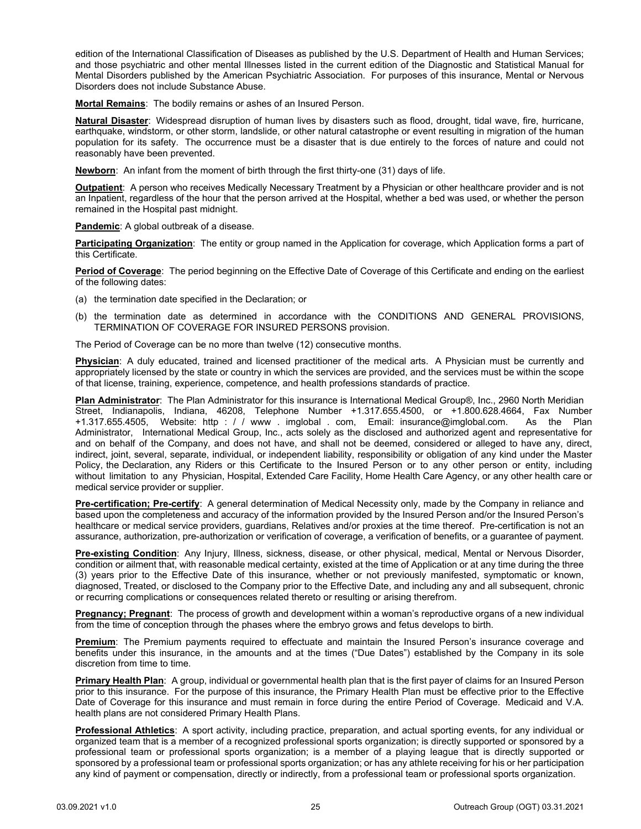edition of the International Classification of Diseases as published by the U.S. Department of Health and Human Services; and those psychiatric and other mental Illnesses listed in the current edition of the Diagnostic and Statistical Manual for Mental Disorders published by the American Psychiatric Association. For purposes of this insurance, Mental or Nervous Disorders does not include Substance Abuse.

**Mortal Remains**: The bodily remains or ashes of an Insured Person.

**Natural Disaster**: Widespread disruption of human lives by disasters such as flood, drought, tidal wave, fire, hurricane, earthquake, windstorm, or other storm, landslide, or other natural catastrophe or event resulting in migration of the human population for its safety. The occurrence must be a disaster that is due entirely to the forces of nature and could not reasonably have been prevented.

**Newborn**: An infant from the moment of birth through the first thirty-one (31) days of life.

**Outpatient**: A person who receives Medically Necessary Treatment by a Physician or other healthcare provider and is not an Inpatient, regardless of the hour that the person arrived at the Hospital, whether a bed was used, or whether the person remained in the Hospital past midnight.

**Pandemic**: A global outbreak of a disease.

**Participating Organization**: The entity or group named in the Application for coverage, which Application forms a part of this Certificate.

**Period of Coverage**: The period beginning on the Effective Date of Coverage of this Certificate and ending on the earliest of the following dates:

- (a) the termination date specified in the Declaration; or
- (b) the termination date as determined in accordance with the CONDITIONS AND GENERAL PROVISIONS, TERMINATION OF COVERAGE FOR INSURED PERSONS provision.

The Period of Coverage can be no more than twelve (12) consecutive months.

**Physician**: A duly educated, trained and licensed practitioner of the medical arts. A Physician must be currently and appropriately licensed by the state or country in which the services are provided, and the services must be within the scope of that license, training, experience, competence, and health professions standards of practice.

**Plan Administrator**: The Plan Administrator for this insurance is International Medical Group®, Inc., 2960 North Meridian Street, Indianapolis, Indiana, 46208, Telephone Number +1.317.655.4500, or +1.800.628.4664, Fax Number +1.317.655.4505, Website: http : / / www . imglobal . com, Email: insurance@imglobal.com. As the Plan Administrator, International Medical Group, Inc., acts solely as the disclosed and authorized agent and representative for and on behalf of the Company, and does not have, and shall not be deemed, considered or alleged to have any, direct, indirect, joint, several, separate, individual, or independent liability, responsibility or obligation of any kind under the Master Policy, the Declaration, any Riders or this Certificate to the Insured Person or to any other person or entity, including without limitation to any Physician, Hospital, Extended Care Facility, Home Health Care Agency, or any other health care or medical service provider or supplier.

**Pre-certification; Pre-certify**: A general determination of Medical Necessity only, made by the Company in reliance and based upon the completeness and accuracy of the information provided by the Insured Person and/or the Insured Person's healthcare or medical service providers, guardians, Relatives and/or proxies at the time thereof. Pre-certification is not an assurance, authorization, pre-authorization or verification of coverage, a verification of benefits, or a guarantee of payment.

**Pre-existing Condition**: Any Injury, Illness, sickness, disease, or other physical, medical, Mental or Nervous Disorder, condition or ailment that, with reasonable medical certainty, existed at the time of Application or at any time during the three (3) years prior to the Effective Date of this insurance, whether or not previously manifested, symptomatic or known, diagnosed, Treated, or disclosed to the Company prior to the Effective Date, and including any and all subsequent, chronic or recurring complications or consequences related thereto or resulting or arising therefrom.

**Pregnancy; Pregnant**: The process of growth and development within a woman's reproductive organs of a new individual from the time of conception through the phases where the embryo grows and fetus develops to birth.

**Premium**: The Premium payments required to effectuate and maintain the Insured Person's insurance coverage and benefits under this insurance, in the amounts and at the times ("Due Dates") established by the Company in its sole discretion from time to time.

**Primary Health Plan**: A group, individual or governmental health plan that is the first payer of claims for an Insured Person prior to this insurance. For the purpose of this insurance, the Primary Health Plan must be effective prior to the Effective Date of Coverage for this insurance and must remain in force during the entire Period of Coverage. Medicaid and V.A. health plans are not considered Primary Health Plans.

**Professional Athletics**: A sport activity, including practice, preparation, and actual sporting events, for any individual or organized team that is a member of a recognized professional sports organization; is directly supported or sponsored by a professional team or professional sports organization; is a member of a playing league that is directly supported or sponsored by a professional team or professional sports organization; or has any athlete receiving for his or her participation any kind of payment or compensation, directly or indirectly, from a professional team or professional sports organization.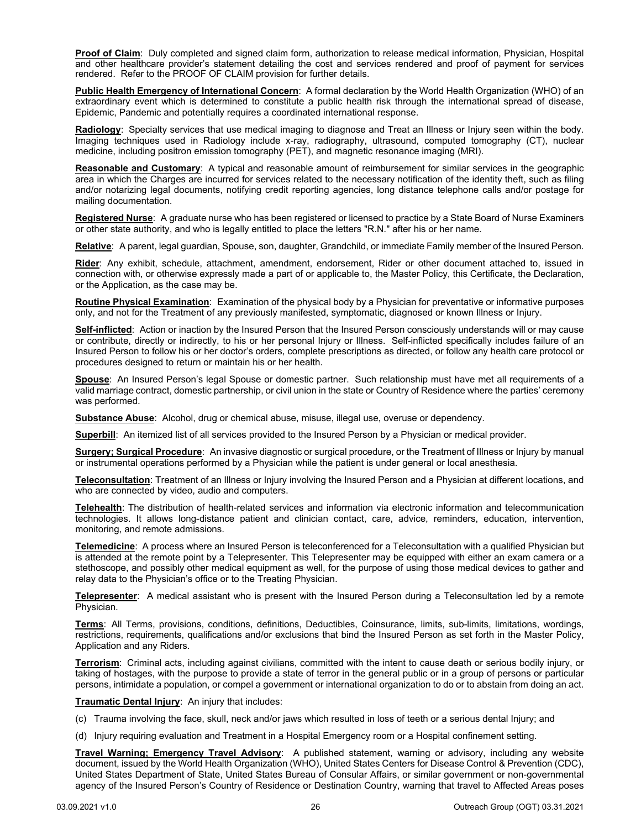**Proof of Claim**: Duly completed and signed claim form, authorization to release medical information, Physician, Hospital and other healthcare provider's statement detailing the cost and services rendered and proof of payment for services rendered. Refer to the PROOF OF CLAIM provision for further details.

**Public Health Emergency of International Concern**: A formal declaration by the World Health Organization (WHO) of an extraordinary event which is determined to constitute a public health risk through the international spread of disease, Epidemic, Pandemic and potentially requires a coordinated international response.

**Radiology**: Specialty services that use medical imaging to diagnose and Treat an Illness or Injury seen within the body. Imaging techniques used in Radiology include x-ray, radiography, ultrasound, computed tomography (CT), nuclear medicine, including positron emission tomography (PET), and magnetic resonance imaging (MRI).

**Reasonable and Customary**: A typical and reasonable amount of reimbursement for similar services in the geographic area in which the Charges are incurred for services related to the necessary notification of the identity theft, such as filing and/or notarizing legal documents, notifying credit reporting agencies, long distance telephone calls and/or postage for mailing documentation.

**Registered Nurse**: A graduate nurse who has been registered or licensed to practice by a State Board of Nurse Examiners or other state authority, and who is legally entitled to place the letters "R.N." after his or her name.

**Relative**: A parent, legal guardian, Spouse, son, daughter, Grandchild, or immediate Family member of the Insured Person.

**Rider**: Any exhibit, schedule, attachment, amendment, endorsement, Rider or other document attached to, issued in connection with, or otherwise expressly made a part of or applicable to, the Master Policy, this Certificate, the Declaration, or the Application, as the case may be.

**Routine Physical Examination**: Examination of the physical body by a Physician for preventative or informative purposes only, and not for the Treatment of any previously manifested, symptomatic, diagnosed or known Illness or Injury.

**Self-inflicted**: Action or inaction by the Insured Person that the Insured Person consciously understands will or may cause or contribute, directly or indirectly, to his or her personal Injury or Illness. Self-inflicted specifically includes failure of an Insured Person to follow his or her doctor's orders, complete prescriptions as directed, or follow any health care protocol or procedures designed to return or maintain his or her health.

**Spouse**: An Insured Person's legal Spouse or domestic partner. Such relationship must have met all requirements of a valid marriage contract, domestic partnership, or civil union in the state or Country of Residence where the parties' ceremony was performed.

**Substance Abuse**: Alcohol, drug or chemical abuse, misuse, illegal use, overuse or dependency.

**Superbill**: An itemized list of all services provided to the Insured Person by a Physician or medical provider.

**Surgery; Surgical Procedure**: An invasive diagnostic or surgical procedure, or the Treatment of Illness or Injury by manual or instrumental operations performed by a Physician while the patient is under general or local anesthesia.

**Teleconsultation**: Treatment of an Illness or Injury involving the Insured Person and a Physician at different locations, and who are connected by video, audio and computers.

**Telehealth**: The distribution of health-related services and information via electronic information and telecommunication technologies. It allows long-distance patient and clinician contact, care, advice, reminders, education, intervention, monitoring, and remote admissions.

**Telemedicine**: A process where an Insured Person is teleconferenced for a Teleconsultation with a qualified Physician but is attended at the remote point by a Telepresenter. This Telepresenter may be equipped with either an exam camera or a stethoscope, and possibly other medical equipment as well, for the purpose of using those medical devices to gather and relay data to the Physician's office or to the Treating Physician.

**Telepresenter**: A medical assistant who is present with the Insured Person during a Teleconsultation led by a remote Physician.

**Terms**: All Terms, provisions, conditions, definitions, Deductibles, Coinsurance, limits, sub-limits, limitations, wordings, restrictions, requirements, qualifications and/or exclusions that bind the Insured Person as set forth in the Master Policy, Application and any Riders.

**Terrorism**: Criminal acts, including against civilians, committed with the intent to cause death or serious bodily injury, or taking of hostages, with the purpose to provide a state of terror in the general public or in a group of persons or particular persons, intimidate a population, or compel a government or international organization to do or to abstain from doing an act.

**Traumatic Dental Injury**: An injury that includes:

- (c) Trauma involving the face, skull, neck and/or jaws which resulted in loss of teeth or a serious dental Injury; and
- (d) Injury requiring evaluation and Treatment in a Hospital Emergency room or a Hospital confinement setting.

**Travel Warning; Emergency Travel Advisory**: A published statement, warning or advisory, including any website document, issued by the World Health Organization (WHO), United States Centers for Disease Control & Prevention (CDC), United States Department of State, United States Bureau of Consular Affairs, or similar government or non-governmental agency of the Insured Person's Country of Residence or Destination Country, warning that travel to Affected Areas poses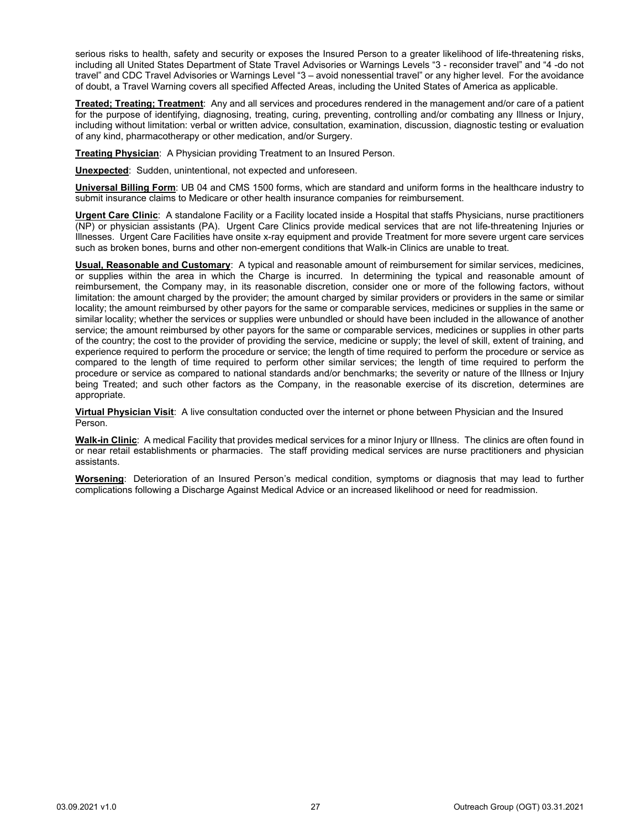serious risks to health, safety and security or exposes the Insured Person to a greater likelihood of life-threatening risks, including all United States Department of State Travel Advisories or Warnings Levels "3 - reconsider travel" and "4 -do not travel" and CDC Travel Advisories or Warnings Level "3 – avoid nonessential travel" or any higher level. For the avoidance of doubt, a Travel Warning covers all specified Affected Areas, including the United States of America as applicable.

**Treated; Treating; Treatment**: Any and all services and procedures rendered in the management and/or care of a patient for the purpose of identifying, diagnosing, treating, curing, preventing, controlling and/or combating any Illness or Injury, including without limitation: verbal or written advice, consultation, examination, discussion, diagnostic testing or evaluation of any kind, pharmacotherapy or other medication, and/or Surgery.

**Treating Physician**: A Physician providing Treatment to an Insured Person.

**Unexpected**: Sudden, unintentional, not expected and unforeseen.

**Universal Billing Form**: UB 04 and CMS 1500 forms, which are standard and uniform forms in the healthcare industry to submit insurance claims to Medicare or other health insurance companies for reimbursement.

**Urgent Care Clinic**: A standalone Facility or a Facility located inside a Hospital that staffs Physicians, nurse practitioners (NP) or physician assistants (PA). Urgent Care Clinics provide medical services that are not life-threatening Injuries or Illnesses. Urgent Care Facilities have onsite x-ray equipment and provide Treatment for more severe urgent care services such as broken bones, burns and other non-emergent conditions that Walk-in Clinics are unable to treat.

**Usual, Reasonable and Customary**: A typical and reasonable amount of reimbursement for similar services, medicines, or supplies within the area in which the Charge is incurred. In determining the typical and reasonable amount of reimbursement, the Company may, in its reasonable discretion, consider one or more of the following factors, without limitation: the amount charged by the provider; the amount charged by similar providers or providers in the same or similar locality; the amount reimbursed by other payors for the same or comparable services, medicines or supplies in the same or similar locality; whether the services or supplies were unbundled or should have been included in the allowance of another service; the amount reimbursed by other payors for the same or comparable services, medicines or supplies in other parts of the country; the cost to the provider of providing the service, medicine or supply; the level of skill, extent of training, and experience required to perform the procedure or service; the length of time required to perform the procedure or service as compared to the length of time required to perform other similar services; the length of time required to perform the procedure or service as compared to national standards and/or benchmarks; the severity or nature of the Illness or Injury being Treated; and such other factors as the Company, in the reasonable exercise of its discretion, determines are appropriate.

**Virtual Physician Visit**: A live consultation conducted over the internet or phone between Physician and the Insured Person.

**Walk-in Clinic**: A medical Facility that provides medical services for a minor Injury or Illness. The clinics are often found in or near retail establishments or pharmacies. The staff providing medical services are nurse practitioners and physician assistants.

**Worsening**: Deterioration of an Insured Person's medical condition, symptoms or diagnosis that may lead to further complications following a Discharge Against Medical Advice or an increased likelihood or need for readmission.